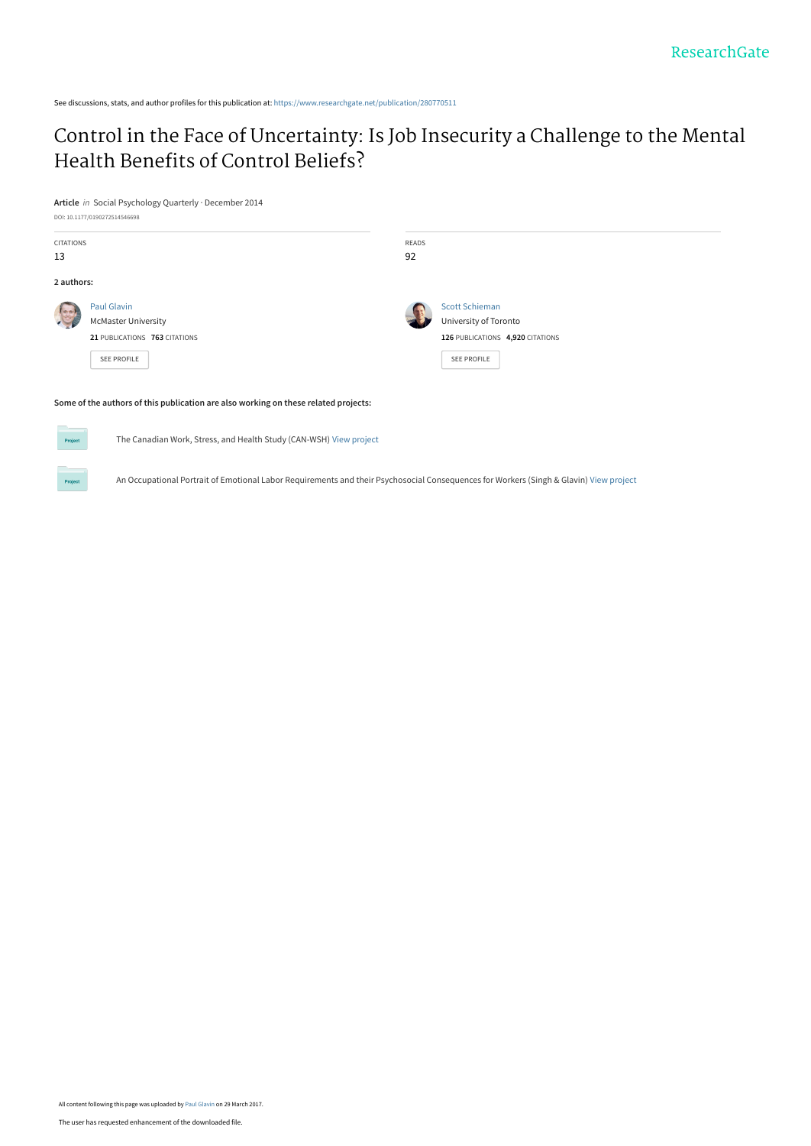See discussions, stats, and author profiles for this publication at: [https://www.researchgate.net/publication/280770511](https://www.researchgate.net/publication/280770511_Control_in_the_Face_of_Uncertainty_Is_Job_Insecurity_a_Challenge_to_the_Mental_Health_Benefits_of_Control_Beliefs?enrichId=rgreq-20a8b32db2a4650b6ec96db4c1cc6289-XXX&enrichSource=Y292ZXJQYWdlOzI4MDc3MDUxMTtBUzo0NzcyNzI4Mzk4NTYxMzBAMTQ5MDgwMjEyMDUxMg%3D%3D&el=1_x_2&_esc=publicationCoverPdf)

# [Control in the Face of Uncertainty: Is Job Insecurity a Challenge to the Mental](https://www.researchgate.net/publication/280770511_Control_in_the_Face_of_Uncertainty_Is_Job_Insecurity_a_Challenge_to_the_Mental_Health_Benefits_of_Control_Beliefs?enrichId=rgreq-20a8b32db2a4650b6ec96db4c1cc6289-XXX&enrichSource=Y292ZXJQYWdlOzI4MDc3MDUxMTtBUzo0NzcyNzI4Mzk4NTYxMzBAMTQ5MDgwMjEyMDUxMg%3D%3D&el=1_x_3&_esc=publicationCoverPdf) Health Benefits of Control Beliefs?

**Article** in Social Psychology Quarterly · December 2014 DOI: 10.1177/0190272514546698



An Occupational Portrait of Emotional Labor Requirements and their Psychosocial Consequences for Workers (Singh & Glavin) [View project](https://www.researchgate.net/project/An-Occupational-Portrait-of-Emotional-Labor-Requirements-and-their-Psychosocial-Consequences-for-Workers-Singh-Glavin?enrichId=rgreq-20a8b32db2a4650b6ec96db4c1cc6289-XXX&enrichSource=Y292ZXJQYWdlOzI4MDc3MDUxMTtBUzo0NzcyNzI4Mzk4NTYxMzBAMTQ5MDgwMjEyMDUxMg%3D%3D&el=1_x_9&_esc=publicationCoverPdf)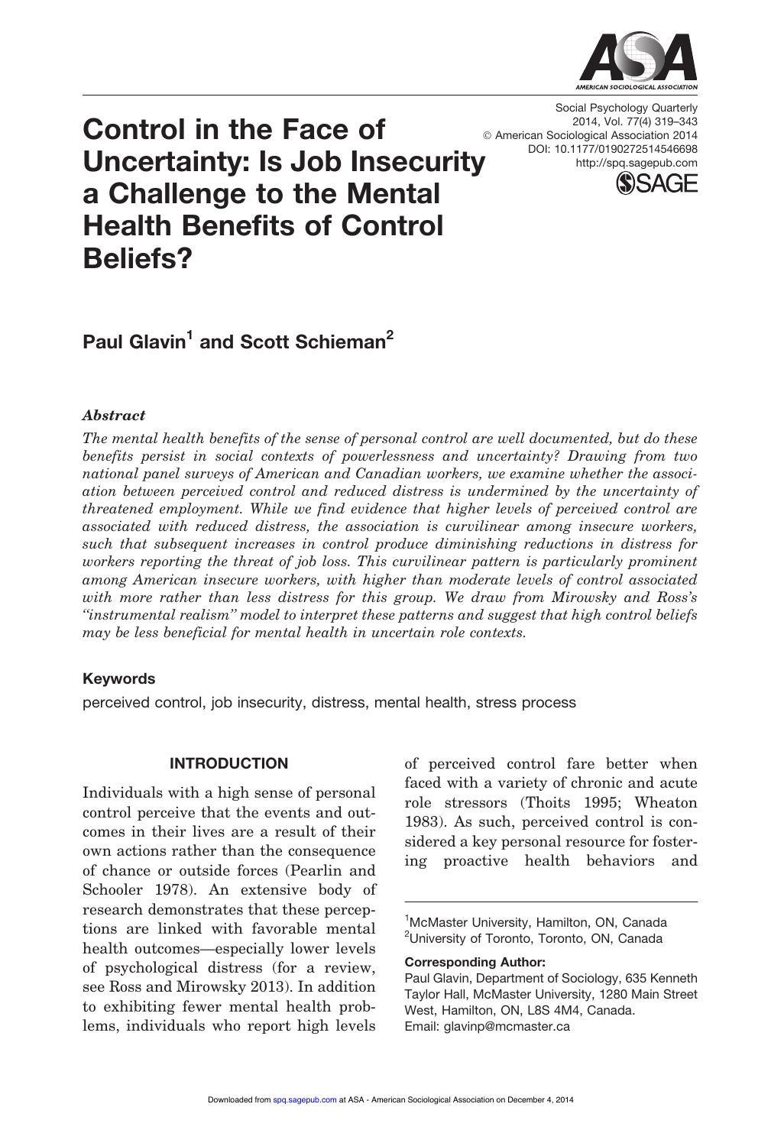

Social Psychology Quarterly 2014, Vol. 77(4) 319–343  $©$  American Sociological Association 2014 DOI: 10.1177/0190272514546698 http://spq.sagepub.com



# Control in the Face of Uncertainty: Is Job Insecurity a Challenge to the Mental Health Benefits of Control Beliefs?

# Paul Glavin<sup>1</sup> and Scott Schieman<sup>2</sup>

# Abstract

The mental health benefits of the sense of personal control are well documented, but do these benefits persist in social contexts of powerlessness and uncertainty? Drawing from two national panel surveys of American and Canadian workers, we examine whether the association between perceived control and reduced distress is undermined by the uncertainty of threatened employment. While we find evidence that higher levels of perceived control are associated with reduced distress, the association is curvilinear among insecure workers, such that subsequent increases in control produce diminishing reductions in distress for workers reporting the threat of job loss. This curvilinear pattern is particularly prominent among American insecure workers, with higher than moderate levels of control associated with more rather than less distress for this group. We draw from Mirowsky and Ross's ''instrumental realism'' model to interpret these patterns and suggest that high control beliefs may be less beneficial for mental health in uncertain role contexts.

# Keywords

perceived control, job insecurity, distress, mental health, stress process

#### INTRODUCTION

Individuals with a high sense of personal control perceive that the events and outcomes in their lives are a result of their own actions rather than the consequence of chance or outside forces (Pearlin and Schooler 1978). An extensive body of research demonstrates that these perceptions are linked with favorable mental health outcomes—especially lower levels of psychological distress (for a review, see Ross and Mirowsky 2013). In addition to exhibiting fewer mental health problems, individuals who report high levels of perceived control fare better when faced with a variety of chronic and acute role stressors (Thoits 1995; Wheaton 1983). As such, perceived control is considered a key personal resource for fostering proactive health behaviors and

<sup>1</sup>McMaster University, Hamilton, ON, Canada <sup>2</sup>University of Toronto, Toronto, ON, Canada

Corresponding Author:

Paul Glavin, Department of Sociology, 635 Kenneth Taylor Hall, McMaster University, 1280 Main Street West, Hamilton, ON, L8S 4M4, Canada. Email: glavinp@mcmaster.ca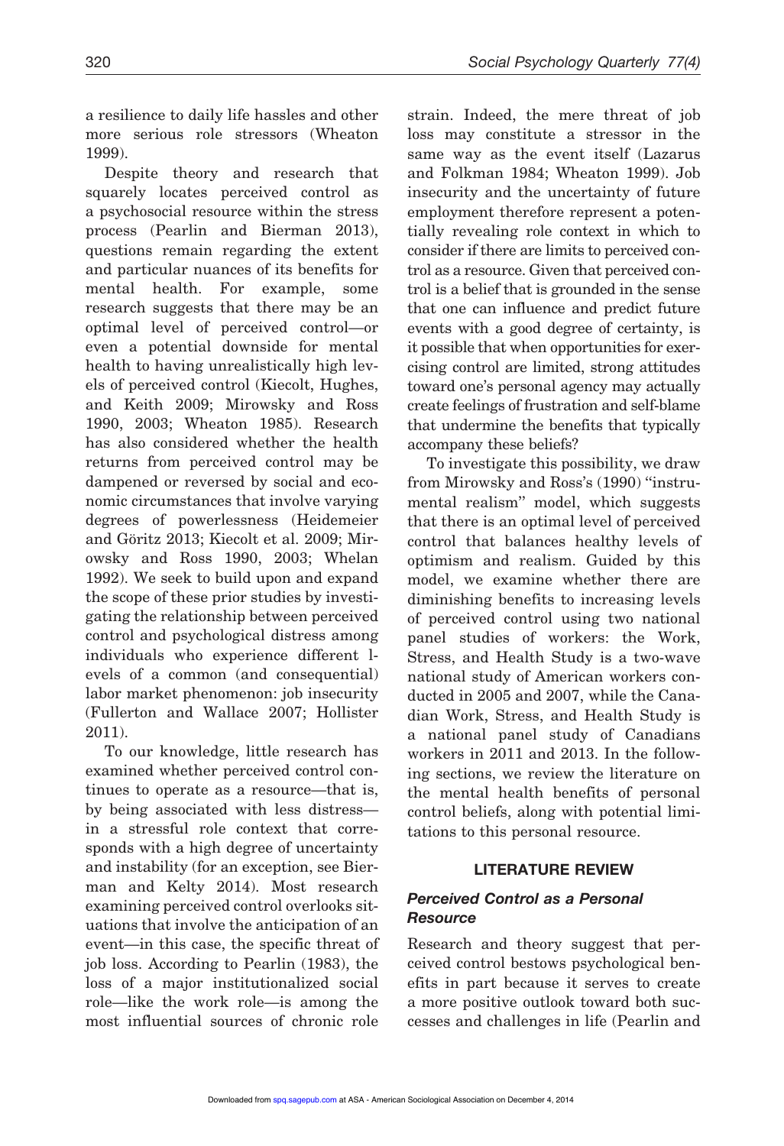a resilience to daily life hassles and other more serious role stressors (Wheaton 1999).

Despite theory and research that squarely locates perceived control as a psychosocial resource within the stress process (Pearlin and Bierman 2013), questions remain regarding the extent and particular nuances of its benefits for mental health. For example, some research suggests that there may be an optimal level of perceived control—or even a potential downside for mental health to having unrealistically high levels of perceived control (Kiecolt, Hughes, and Keith 2009; Mirowsky and Ross 1990, 2003; Wheaton 1985). Research has also considered whether the health returns from perceived control may be dampened or reversed by social and economic circumstances that involve varying degrees of powerlessness (Heidemeier and Göritz 2013; Kiecolt et al. 2009; Mirowsky and Ross 1990, 2003; Whelan 1992). We seek to build upon and expand the scope of these prior studies by investigating the relationship between perceived control and psychological distress among individuals who experience different levels of a common (and consequential) labor market phenomenon: job insecurity (Fullerton and Wallace 2007; Hollister 2011).

To our knowledge, little research has examined whether perceived control continues to operate as a resource—that is, by being associated with less distress in a stressful role context that corresponds with a high degree of uncertainty and instability (for an exception, see Bierman and Kelty 2014). Most research examining perceived control overlooks situations that involve the anticipation of an event—in this case, the specific threat of job loss. According to Pearlin (1983), the loss of a major institutionalized social role—like the work role—is among the most influential sources of chronic role

strain. Indeed, the mere threat of job loss may constitute a stressor in the same way as the event itself (Lazarus and Folkman 1984; Wheaton 1999). Job insecurity and the uncertainty of future employment therefore represent a potentially revealing role context in which to consider if there are limits to perceived control as a resource. Given that perceived control is a belief that is grounded in the sense that one can influence and predict future events with a good degree of certainty, is it possible that when opportunities for exercising control are limited, strong attitudes toward one's personal agency may actually create feelings of frustration and self-blame that undermine the benefits that typically accompany these beliefs?

To investigate this possibility, we draw from Mirowsky and Ross's (1990) ''instrumental realism'' model, which suggests that there is an optimal level of perceived control that balances healthy levels of optimism and realism. Guided by this model, we examine whether there are diminishing benefits to increasing levels of perceived control using two national panel studies of workers: the Work, Stress, and Health Study is a two-wave national study of American workers conducted in 2005 and 2007, while the Canadian Work, Stress, and Health Study is a national panel study of Canadians workers in 2011 and 2013. In the following sections, we review the literature on the mental health benefits of personal control beliefs, along with potential limitations to this personal resource.

# LITERATURE REVIEW

# Perceived Control as a Personal **Resource**

Research and theory suggest that perceived control bestows psychological benefits in part because it serves to create a more positive outlook toward both successes and challenges in life (Pearlin and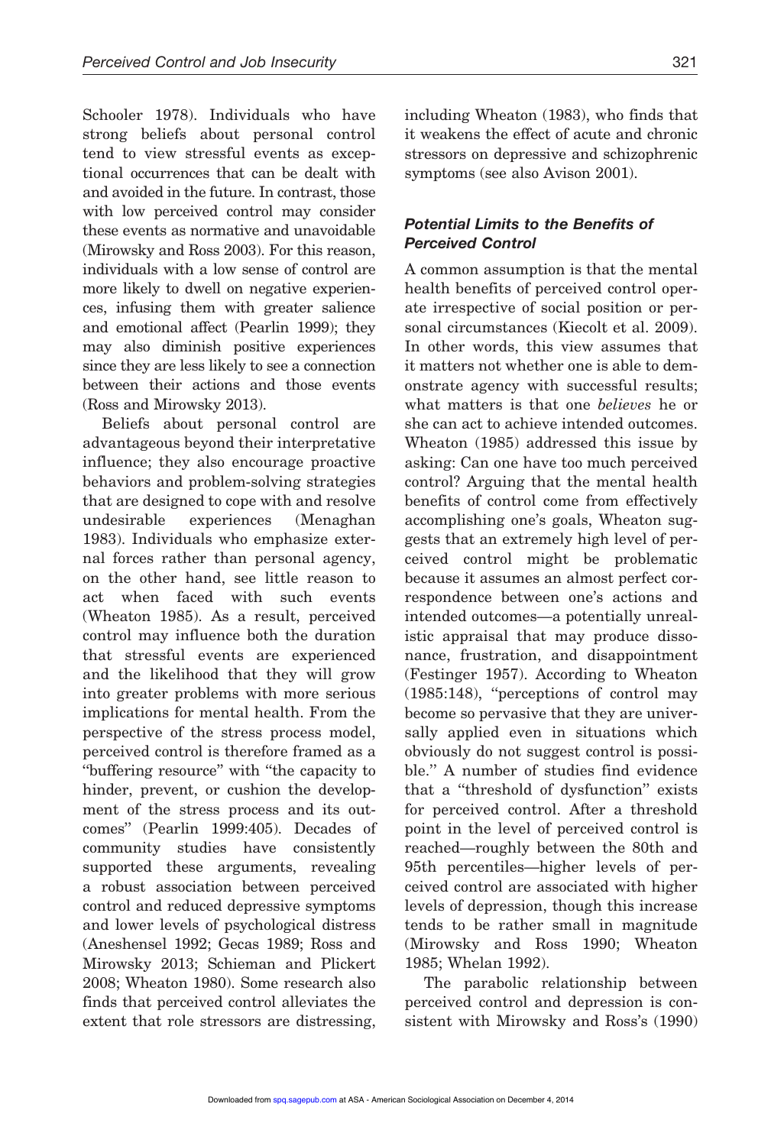Schooler 1978). Individuals who have strong beliefs about personal control tend to view stressful events as exceptional occurrences that can be dealt with and avoided in the future. In contrast, those with low perceived control may consider these events as normative and unavoidable (Mirowsky and Ross 2003). For this reason, individuals with a low sense of control are more likely to dwell on negative experiences, infusing them with greater salience and emotional affect (Pearlin 1999); they may also diminish positive experiences since they are less likely to see a connection between their actions and those events (Ross and Mirowsky 2013).

Beliefs about personal control are advantageous beyond their interpretative influence; they also encourage proactive behaviors and problem-solving strategies that are designed to cope with and resolve undesirable experiences (Menaghan 1983). Individuals who emphasize external forces rather than personal agency, on the other hand, see little reason to act when faced with such events (Wheaton 1985). As a result, perceived control may influence both the duration that stressful events are experienced and the likelihood that they will grow into greater problems with more serious implications for mental health. From the perspective of the stress process model, perceived control is therefore framed as a ''buffering resource'' with ''the capacity to hinder, prevent, or cushion the development of the stress process and its outcomes'' (Pearlin 1999:405). Decades of community studies have consistently supported these arguments, revealing a robust association between perceived control and reduced depressive symptoms and lower levels of psychological distress (Aneshensel 1992; Gecas 1989; Ross and Mirowsky 2013; Schieman and Plickert 2008; Wheaton 1980). Some research also finds that perceived control alleviates the extent that role stressors are distressing, including Wheaton (1983), who finds that it weakens the effect of acute and chronic stressors on depressive and schizophrenic symptoms (see also Avison 2001).

# Potential Limits to the Benefits of Perceived Control

A common assumption is that the mental health benefits of perceived control operate irrespective of social position or personal circumstances (Kiecolt et al. 2009). In other words, this view assumes that it matters not whether one is able to demonstrate agency with successful results; what matters is that one *believes* he or she can act to achieve intended outcomes. Wheaton (1985) addressed this issue by asking: Can one have too much perceived control? Arguing that the mental health benefits of control come from effectively accomplishing one's goals, Wheaton suggests that an extremely high level of perceived control might be problematic because it assumes an almost perfect correspondence between one's actions and intended outcomes—a potentially unrealistic appraisal that may produce dissonance, frustration, and disappointment (Festinger 1957). According to Wheaton (1985:148), ''perceptions of control may become so pervasive that they are universally applied even in situations which obviously do not suggest control is possible.'' A number of studies find evidence that a ''threshold of dysfunction'' exists for perceived control. After a threshold point in the level of perceived control is reached—roughly between the 80th and 95th percentiles—higher levels of perceived control are associated with higher levels of depression, though this increase tends to be rather small in magnitude (Mirowsky and Ross 1990; Wheaton 1985; Whelan 1992).

The parabolic relationship between perceived control and depression is consistent with Mirowsky and Ross's (1990)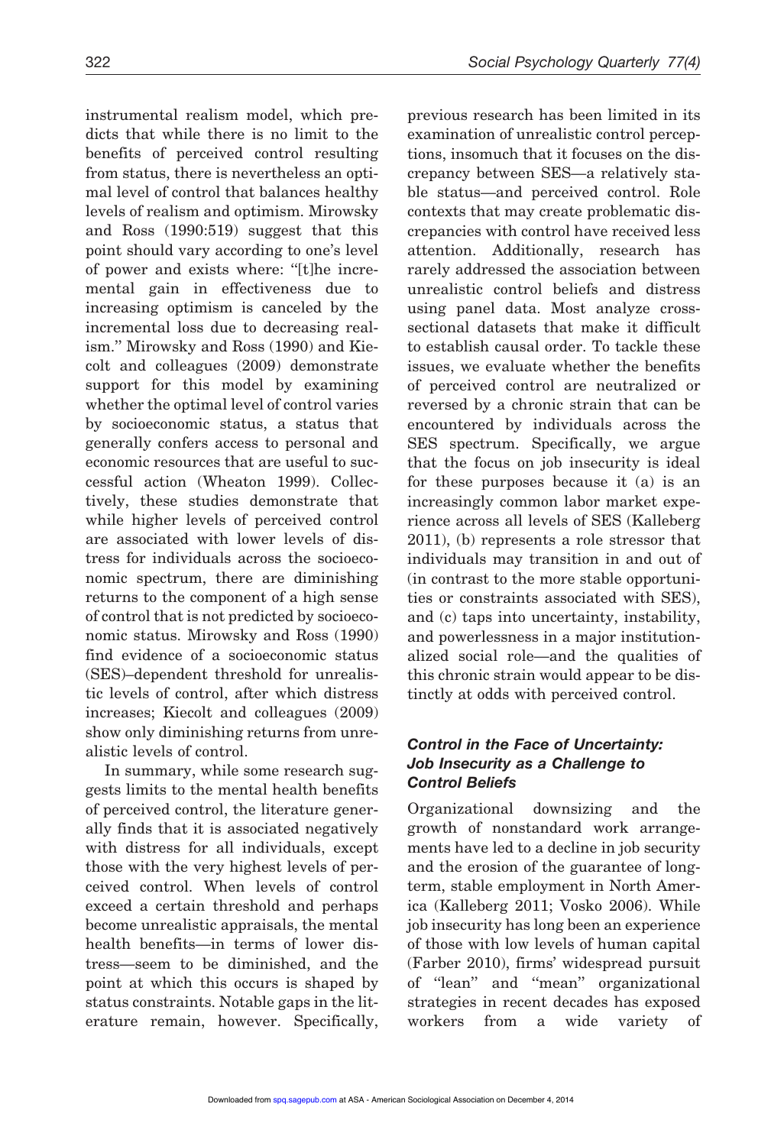instrumental realism model, which predicts that while there is no limit to the benefits of perceived control resulting from status, there is nevertheless an optimal level of control that balances healthy levels of realism and optimism. Mirowsky and Ross (1990:519) suggest that this point should vary according to one's level of power and exists where: ''[t]he incremental gain in effectiveness due to increasing optimism is canceled by the incremental loss due to decreasing realism.'' Mirowsky and Ross (1990) and Kiecolt and colleagues (2009) demonstrate support for this model by examining whether the optimal level of control varies by socioeconomic status, a status that generally confers access to personal and economic resources that are useful to successful action (Wheaton 1999). Collectively, these studies demonstrate that while higher levels of perceived control are associated with lower levels of distress for individuals across the socioeconomic spectrum, there are diminishing returns to the component of a high sense of control that is not predicted by socioeconomic status. Mirowsky and Ross (1990) find evidence of a socioeconomic status (SES)–dependent threshold for unrealistic levels of control, after which distress increases; Kiecolt and colleagues (2009) show only diminishing returns from unrealistic levels of control.

In summary, while some research suggests limits to the mental health benefits of perceived control, the literature generally finds that it is associated negatively with distress for all individuals, except those with the very highest levels of perceived control. When levels of control exceed a certain threshold and perhaps become unrealistic appraisals, the mental health benefits—in terms of lower distress—seem to be diminished, and the point at which this occurs is shaped by status constraints. Notable gaps in the literature remain, however. Specifically, previous research has been limited in its examination of unrealistic control perceptions, insomuch that it focuses on the discrepancy between SES—a relatively stable status—and perceived control. Role contexts that may create problematic discrepancies with control have received less attention. Additionally, research has rarely addressed the association between unrealistic control beliefs and distress using panel data. Most analyze crosssectional datasets that make it difficult to establish causal order. To tackle these issues, we evaluate whether the benefits of perceived control are neutralized or reversed by a chronic strain that can be encountered by individuals across the SES spectrum. Specifically, we argue that the focus on job insecurity is ideal for these purposes because it (a) is an increasingly common labor market experience across all levels of SES (Kalleberg 2011), (b) represents a role stressor that individuals may transition in and out of (in contrast to the more stable opportunities or constraints associated with SES), and (c) taps into uncertainty, instability, and powerlessness in a major institutionalized social role—and the qualities of this chronic strain would appear to be distinctly at odds with perceived control.

# Control in the Face of Uncertainty: Job Insecurity as a Challenge to Control Beliefs

Organizational downsizing and the growth of nonstandard work arrangements have led to a decline in job security and the erosion of the guarantee of longterm, stable employment in North America (Kalleberg 2011; Vosko 2006). While job insecurity has long been an experience of those with low levels of human capital (Farber 2010), firms' widespread pursuit of ''lean'' and ''mean'' organizational strategies in recent decades has exposed workers from a wide variety of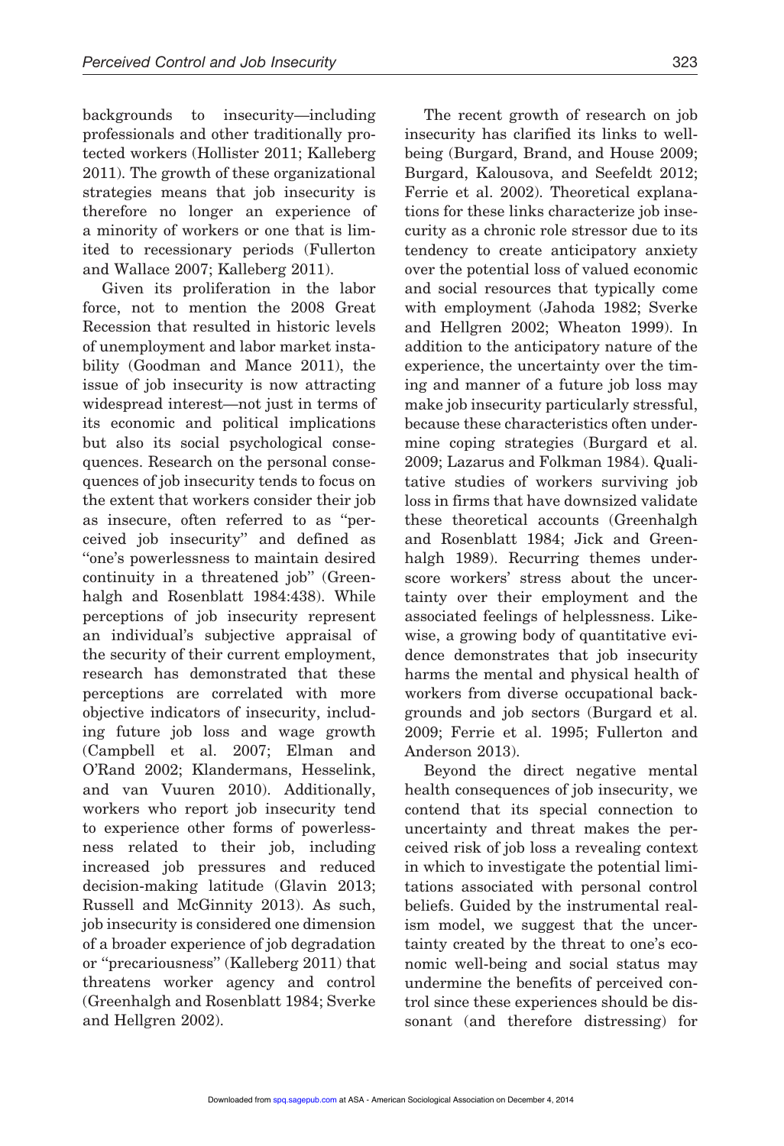backgrounds to insecurity—including professionals and other traditionally protected workers (Hollister 2011; Kalleberg 2011). The growth of these organizational strategies means that job insecurity is therefore no longer an experience of a minority of workers or one that is limited to recessionary periods (Fullerton and Wallace 2007; Kalleberg 2011).

Given its proliferation in the labor force, not to mention the 2008 Great Recession that resulted in historic levels of unemployment and labor market instability (Goodman and Mance 2011), the issue of job insecurity is now attracting widespread interest—not just in terms of its economic and political implications but also its social psychological consequences. Research on the personal consequences of job insecurity tends to focus on the extent that workers consider their job as insecure, often referred to as ''perceived job insecurity'' and defined as ''one's powerlessness to maintain desired continuity in a threatened job'' (Greenhalgh and Rosenblatt 1984:438). While perceptions of job insecurity represent an individual's subjective appraisal of the security of their current employment, research has demonstrated that these perceptions are correlated with more objective indicators of insecurity, including future job loss and wage growth (Campbell et al. 2007; Elman and O'Rand 2002; Klandermans, Hesselink, and van Vuuren 2010). Additionally, workers who report job insecurity tend to experience other forms of powerlessness related to their job, including increased job pressures and reduced decision-making latitude (Glavin 2013; Russell and McGinnity 2013). As such, job insecurity is considered one dimension of a broader experience of job degradation or ''precariousness'' (Kalleberg 2011) that threatens worker agency and control (Greenhalgh and Rosenblatt 1984; Sverke and Hellgren 2002).

The recent growth of research on job insecurity has clarified its links to wellbeing (Burgard, Brand, and House 2009; Burgard, Kalousova, and Seefeldt 2012; Ferrie et al. 2002). Theoretical explanations for these links characterize job insecurity as a chronic role stressor due to its tendency to create anticipatory anxiety over the potential loss of valued economic and social resources that typically come with employment (Jahoda 1982; Sverke and Hellgren 2002; Wheaton 1999). In addition to the anticipatory nature of the experience, the uncertainty over the timing and manner of a future job loss may make job insecurity particularly stressful, because these characteristics often undermine coping strategies (Burgard et al. 2009; Lazarus and Folkman 1984). Qualitative studies of workers surviving job loss in firms that have downsized validate these theoretical accounts (Greenhalgh and Rosenblatt 1984; Jick and Greenhalgh 1989). Recurring themes underscore workers' stress about the uncertainty over their employment and the associated feelings of helplessness. Likewise, a growing body of quantitative evidence demonstrates that job insecurity harms the mental and physical health of workers from diverse occupational backgrounds and job sectors (Burgard et al. 2009; Ferrie et al. 1995; Fullerton and Anderson 2013).

Beyond the direct negative mental health consequences of job insecurity, we contend that its special connection to uncertainty and threat makes the perceived risk of job loss a revealing context in which to investigate the potential limitations associated with personal control beliefs. Guided by the instrumental realism model, we suggest that the uncertainty created by the threat to one's economic well-being and social status may undermine the benefits of perceived control since these experiences should be dissonant (and therefore distressing) for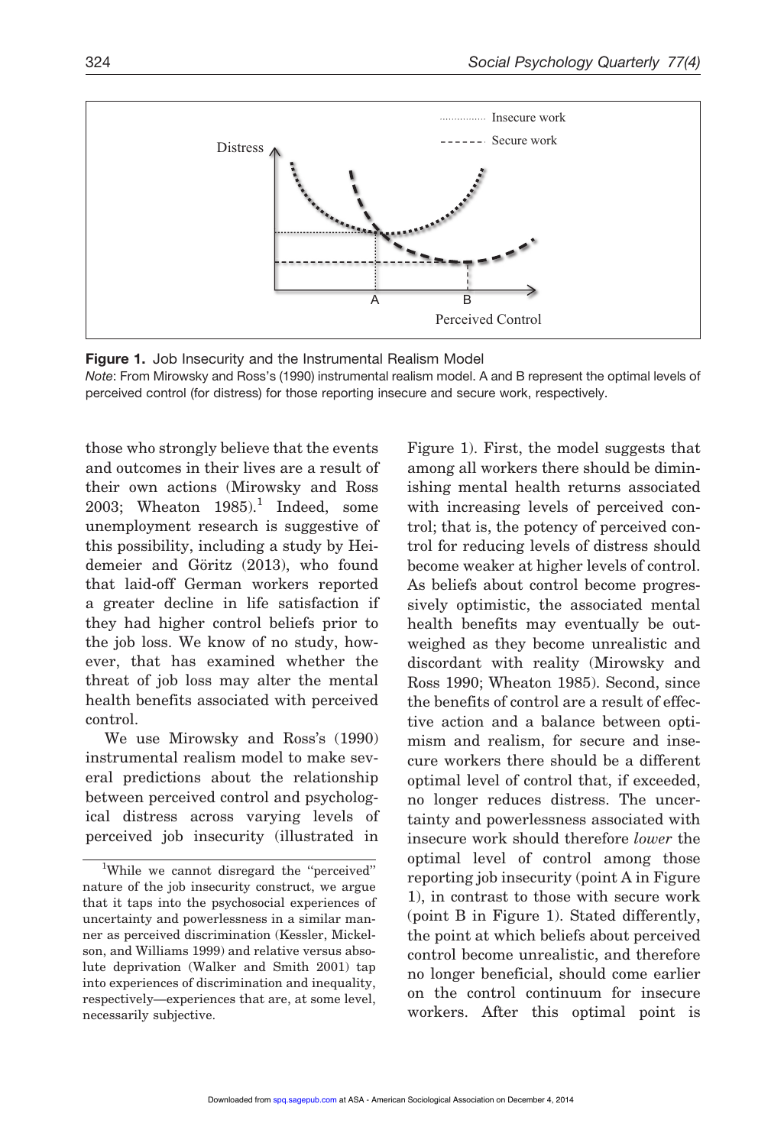



those who strongly believe that the events and outcomes in their lives are a result of their own actions (Mirowsky and Ross 2003; Wheaton  $1985$ .<sup>1</sup> Indeed, some unemployment research is suggestive of this possibility, including a study by Heidemeier and Göritz (2013), who found that laid-off German workers reported a greater decline in life satisfaction if they had higher control beliefs prior to the job loss. We know of no study, however, that has examined whether the threat of job loss may alter the mental health benefits associated with perceived control.

We use Mirowsky and Ross's (1990) instrumental realism model to make several predictions about the relationship between perceived control and psychological distress across varying levels of perceived job insecurity (illustrated in

Figure 1). First, the model suggests that among all workers there should be diminishing mental health returns associated with increasing levels of perceived control; that is, the potency of perceived control for reducing levels of distress should become weaker at higher levels of control. As beliefs about control become progressively optimistic, the associated mental health benefits may eventually be outweighed as they become unrealistic and discordant with reality (Mirowsky and Ross 1990; Wheaton 1985). Second, since the benefits of control are a result of effective action and a balance between optimism and realism, for secure and insecure workers there should be a different optimal level of control that, if exceeded, no longer reduces distress. The uncertainty and powerlessness associated with insecure work should therefore lower the optimal level of control among those reporting job insecurity (point A in Figure 1), in contrast to those with secure work (point B in Figure 1). Stated differently, the point at which beliefs about perceived control become unrealistic, and therefore no longer beneficial, should come earlier on the control continuum for insecure workers. After this optimal point is

<sup>&</sup>lt;sup>1</sup>While we cannot disregard the "perceived" nature of the job insecurity construct, we argue that it taps into the psychosocial experiences of uncertainty and powerlessness in a similar manner as perceived discrimination (Kessler, Mickelson, and Williams 1999) and relative versus absolute deprivation (Walker and Smith 2001) tap into experiences of discrimination and inequality, respectively—experiences that are, at some level, necessarily subjective.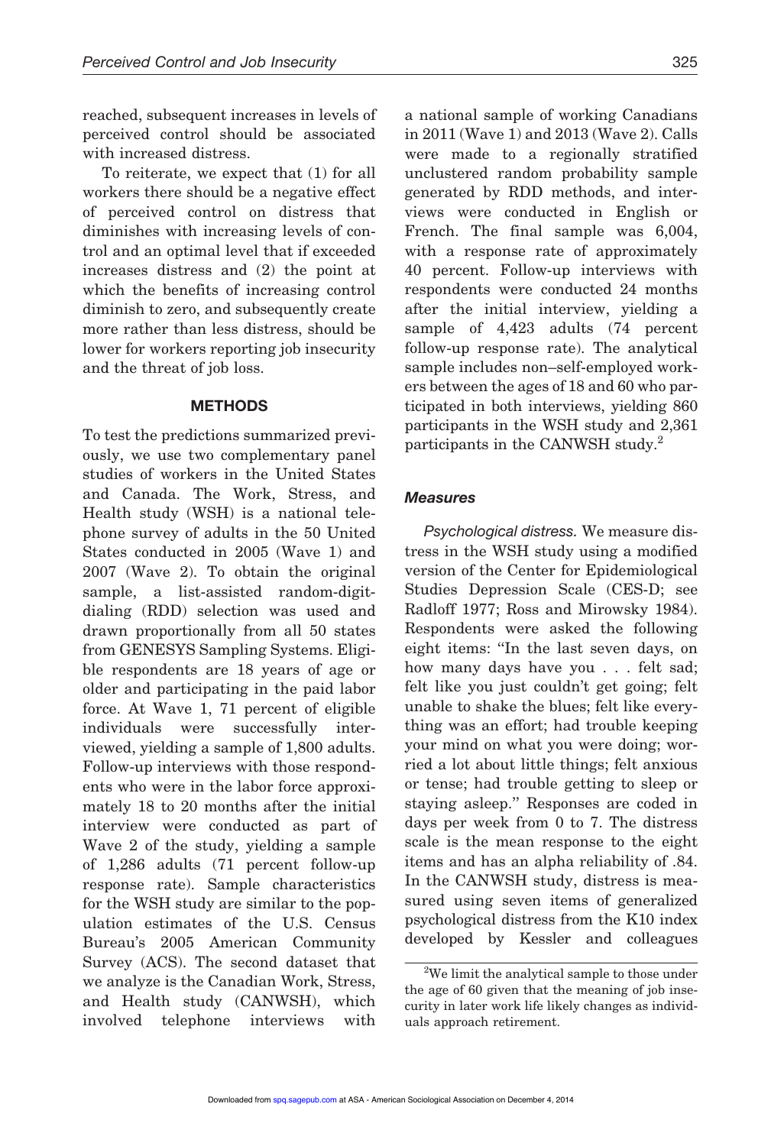reached, subsequent increases in levels of perceived control should be associated with increased distress.

To reiterate, we expect that (1) for all workers there should be a negative effect of perceived control on distress that diminishes with increasing levels of control and an optimal level that if exceeded increases distress and (2) the point at which the benefits of increasing control diminish to zero, and subsequently create more rather than less distress, should be lower for workers reporting job insecurity and the threat of job loss.

#### **METHODS**

To test the predictions summarized previously, we use two complementary panel studies of workers in the United States and Canada. The Work, Stress, and Health study (WSH) is a national telephone survey of adults in the 50 United States conducted in 2005 (Wave 1) and 2007 (Wave 2). To obtain the original sample, a list-assisted random-digitdialing (RDD) selection was used and drawn proportionally from all 50 states from GENESYS Sampling Systems. Eligible respondents are 18 years of age or older and participating in the paid labor force. At Wave 1, 71 percent of eligible individuals were successfully interviewed, yielding a sample of 1,800 adults. Follow-up interviews with those respondents who were in the labor force approximately 18 to 20 months after the initial interview were conducted as part of Wave 2 of the study, yielding a sample of 1,286 adults (71 percent follow-up response rate). Sample characteristics for the WSH study are similar to the population estimates of the U.S. Census Bureau's 2005 American Community Survey (ACS). The second dataset that we analyze is the Canadian Work, Stress, and Health study (CANWSH), which involved telephone interviews with a national sample of working Canadians in 2011 (Wave 1) and 2013 (Wave 2). Calls were made to a regionally stratified unclustered random probability sample generated by RDD methods, and interviews were conducted in English or French. The final sample was 6,004, with a response rate of approximately 40 percent. Follow-up interviews with respondents were conducted 24 months after the initial interview, yielding a sample of 4,423 adults (74 percent follow-up response rate). The analytical sample includes non–self-employed workers between the ages of 18 and 60 who participated in both interviews, yielding 860 participants in the WSH study and 2,361 participants in the CANWSH study.<sup>2</sup>

#### **Measures**

*Psychological distress.* We measure distress in the WSH study using a modified version of the Center for Epidemiological Studies Depression Scale (CES-D; see Radloff 1977; Ross and Mirowsky 1984). Respondents were asked the following eight items: ''In the last seven days, on how many days have you . . . felt sad; felt like you just couldn't get going; felt unable to shake the blues; felt like everything was an effort; had trouble keeping your mind on what you were doing; worried a lot about little things; felt anxious or tense; had trouble getting to sleep or staying asleep.'' Responses are coded in days per week from 0 to 7. The distress scale is the mean response to the eight items and has an alpha reliability of .84. In the CANWSH study, distress is measured using seven items of generalized psychological distress from the K10 index developed by Kessler and colleagues

<sup>&</sup>lt;sup>2</sup>We limit the analytical sample to those under the age of 60 given that the meaning of job insecurity in later work life likely changes as individuals approach retirement.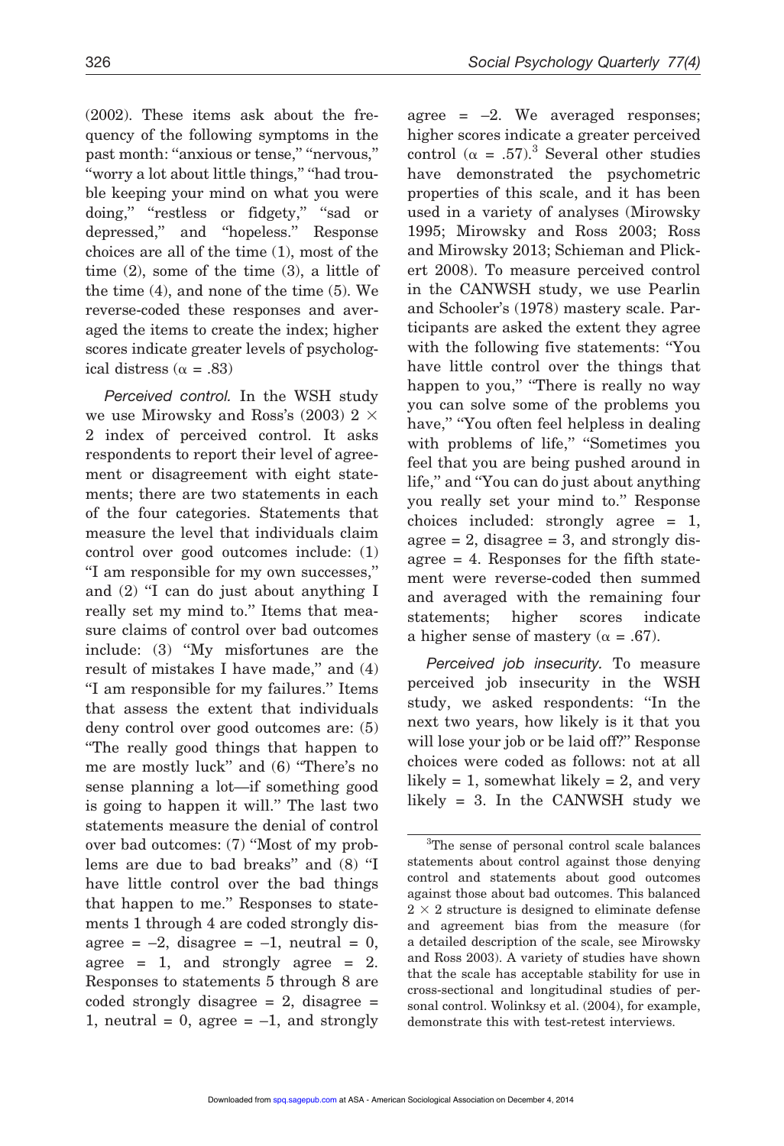(2002). These items ask about the frequency of the following symptoms in the past month: "anxious or tense," "nervous," ''worry a lot about little things,'' ''had trouble keeping your mind on what you were doing," "restless or fidgety," "sad or depressed,'' and ''hopeless.'' Response choices are all of the time (1), most of the time (2), some of the time (3), a little of the time (4), and none of the time (5). We reverse-coded these responses and averaged the items to create the index; higher scores indicate greater levels of psychological distress ( $\alpha = .83$ )

*Perceived control.* In the WSH study we use Mirowsky and Ross's (2003) 2  $\times$ 2 index of perceived control. It asks respondents to report their level of agreement or disagreement with eight statements; there are two statements in each of the four categories. Statements that measure the level that individuals claim control over good outcomes include: (1) ''I am responsible for my own successes,'' and (2) ''I can do just about anything I really set my mind to.'' Items that measure claims of control over bad outcomes include: (3) ''My misfortunes are the result of mistakes I have made," and  $(4)$ ''I am responsible for my failures.'' Items that assess the extent that individuals deny control over good outcomes are: (5) ''The really good things that happen to me are mostly luck'' and (6) ''There's no sense planning a lot—if something good is going to happen it will.'' The last two statements measure the denial of control over bad outcomes: (7) ''Most of my problems are due to bad breaks'' and (8) ''I have little control over the bad things that happen to me.'' Responses to statements 1 through 4 are coded strongly dis $agree = -2$ , disagree = -1, neutral = 0,  $agree = 1$ , and strongly agree = 2. Responses to statements 5 through 8 are coded strongly disagree  $= 2$ , disagree  $=$ 1, neutral = 0, agree =  $-1$ , and strongly agree  $= -2$ . We averaged responses; higher scores indicate a greater perceived control ( $\alpha = .57$ ).<sup>3</sup> Several other studies have demonstrated the psychometric properties of this scale, and it has been used in a variety of analyses (Mirowsky 1995; Mirowsky and Ross 2003; Ross and Mirowsky 2013; Schieman and Plickert 2008). To measure perceived control in the CANWSH study, we use Pearlin and Schooler's (1978) mastery scale. Participants are asked the extent they agree with the following five statements: ''You have little control over the things that happen to you," "There is really no way you can solve some of the problems you have," "You often feel helpless in dealing with problems of life," "Sometimes you feel that you are being pushed around in life,'' and ''You can do just about anything you really set your mind to.'' Response choices included: strongly agree = 1,  $agree = 2$ , disagree  $= 3$ , and strongly disagree = 4. Responses for the fifth statement were reverse-coded then summed and averaged with the remaining four statements; higher scores indicate a higher sense of mastery ( $\alpha$  = .67).

*Perceived job insecurity.* To measure perceived job insecurity in the WSH study, we asked respondents: ''In the next two years, how likely is it that you will lose your job or be laid off?'' Response choices were coded as follows: not at all likely = 1, somewhat likely = 2, and very likely = 3. In the CANWSH study we

<sup>&</sup>lt;sup>3</sup>The sense of personal control scale balances statements about control against those denying control and statements about good outcomes against those about bad outcomes. This balanced  $2 \times 2$  structure is designed to eliminate defense and agreement bias from the measure (for a detailed description of the scale, see Mirowsky and Ross 2003). A variety of studies have shown that the scale has acceptable stability for use in cross-sectional and longitudinal studies of personal control. Wolinksy et al. (2004), for example, demonstrate this with test-retest interviews.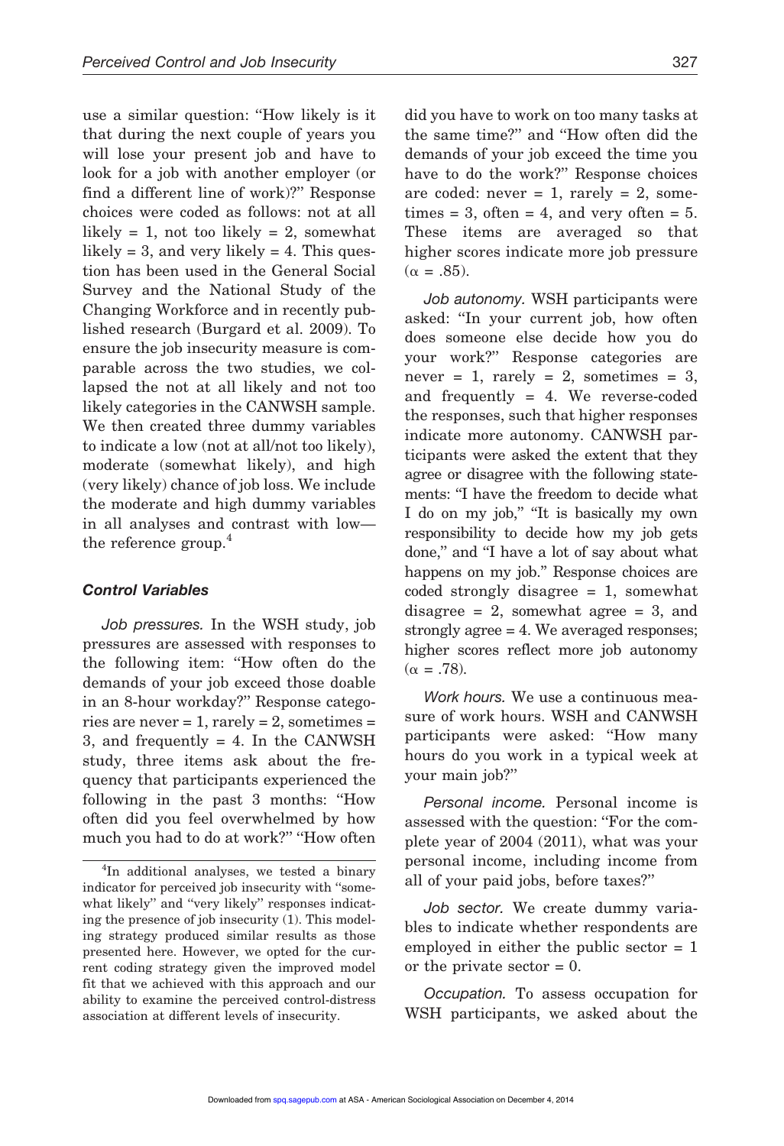use a similar question: ''How likely is it that during the next couple of years you will lose your present job and have to look for a job with another employer (or find a different line of work)?'' Response choices were coded as follows: not at all likely = 1, not too likely = 2, somewhat likely  $= 3$ , and very likely  $= 4$ . This question has been used in the General Social Survey and the National Study of the Changing Workforce and in recently published research (Burgard et al. 2009). To ensure the job insecurity measure is comparable across the two studies, we collapsed the not at all likely and not too likely categories in the CANWSH sample. We then created three dummy variables to indicate a low (not at all/not too likely), moderate (somewhat likely), and high (very likely) chance of job loss. We include the moderate and high dummy variables in all analyses and contrast with low the reference group.<sup>4</sup>

#### Control Variables

*Job pressures.* In the WSH study, job pressures are assessed with responses to the following item: ''How often do the demands of your job exceed those doable in an 8-hour workday?'' Response categories are never  $= 1$ , rarely  $= 2$ , sometimes  $=$ 3, and frequently = 4. In the CANWSH study, three items ask about the frequency that participants experienced the following in the past 3 months: ''How often did you feel overwhelmed by how much you had to do at work?'' ''How often did you have to work on too many tasks at the same time?'' and ''How often did the demands of your job exceed the time you have to do the work?'' Response choices are coded: never  $= 1$ , rarely  $= 2$ , some $times = 3$ , often = 4, and very often = 5. These items are averaged so that higher scores indicate more job pressure  $(\alpha = .85)$ .

*Job autonomy.* WSH participants were asked: ''In your current job, how often does someone else decide how you do your work?'' Response categories are never = 1, rarely = 2, sometimes = 3, and frequently = 4. We reverse-coded the responses, such that higher responses indicate more autonomy. CANWSH participants were asked the extent that they agree or disagree with the following statements: ''I have the freedom to decide what I do on my job," "It is basically my own responsibility to decide how my job gets done,'' and ''I have a lot of say about what happens on my job.'' Response choices are coded strongly disagree = 1, somewhat disagree  $= 2$ , somewhat agree  $= 3$ , and strongly agree = 4. We averaged responses; higher scores reflect more job autonomy  $(\alpha = .78)$ .

*Work hours.* We use a continuous measure of work hours. WSH and CANWSH participants were asked: ''How many hours do you work in a typical week at your main job?''

*Personal income.* Personal income is assessed with the question: ''For the complete year of 2004 (2011), what was your personal income, including income from all of your paid jobs, before taxes?''

*Job sector.* We create dummy variables to indicate whether respondents are employed in either the public sector = 1 or the private sector  $= 0$ .

*Occupation.* To assess occupation for WSH participants, we asked about the

<sup>&</sup>lt;sup>4</sup>In additional analyses, we tested a binary indicator for perceived job insecurity with ''somewhat likely'' and ''very likely'' responses indicating the presence of job insecurity (1). This modeling strategy produced similar results as those presented here. However, we opted for the current coding strategy given the improved model fit that we achieved with this approach and our ability to examine the perceived control-distress association at different levels of insecurity.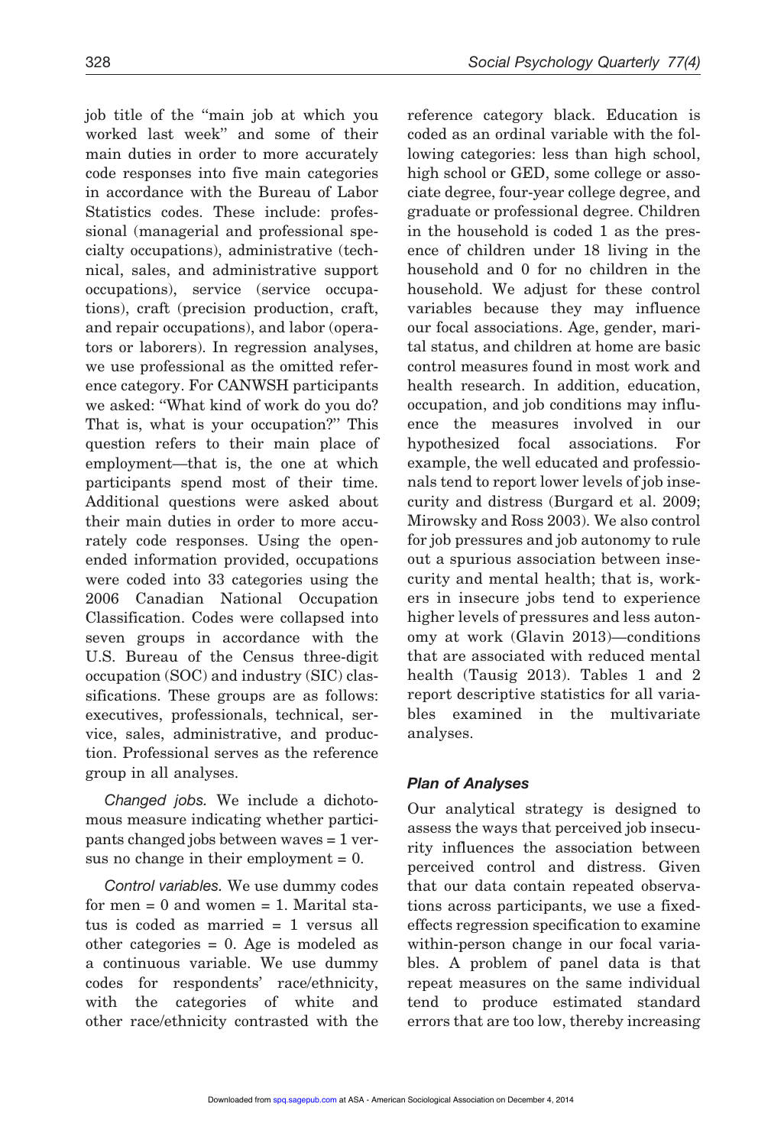job title of the ''main job at which you worked last week'' and some of their main duties in order to more accurately code responses into five main categories in accordance with the Bureau of Labor Statistics codes. These include: professional (managerial and professional specialty occupations), administrative (technical, sales, and administrative support occupations), service (service occupations), craft (precision production, craft, and repair occupations), and labor (operators or laborers). In regression analyses, we use professional as the omitted reference category. For CANWSH participants we asked: ''What kind of work do you do? That is, what is your occupation?'' This question refers to their main place of employment—that is, the one at which participants spend most of their time. Additional questions were asked about their main duties in order to more accurately code responses. Using the openended information provided, occupations were coded into 33 categories using the 2006 Canadian National Occupation Classification. Codes were collapsed into seven groups in accordance with the U.S. Bureau of the Census three-digit occupation (SOC) and industry (SIC) classifications. These groups are as follows: executives, professionals, technical, service, sales, administrative, and production. Professional serves as the reference group in all analyses.

*Changed jobs.* We include a dichotomous measure indicating whether participants changed jobs between waves = 1 versus no change in their employment  $= 0$ .

*Control variables.* We use dummy codes for men  $= 0$  and women  $= 1$ . Marital status is coded as married = 1 versus all other categories = 0. Age is modeled as a continuous variable. We use dummy codes for respondents' race/ethnicity, with the categories of white and other race/ethnicity contrasted with the

reference category black. Education is coded as an ordinal variable with the following categories: less than high school, high school or GED, some college or associate degree, four-year college degree, and graduate or professional degree. Children in the household is coded 1 as the presence of children under 18 living in the household and 0 for no children in the household. We adjust for these control variables because they may influence our focal associations. Age, gender, marital status, and children at home are basic control measures found in most work and health research. In addition, education, occupation, and job conditions may influence the measures involved in our hypothesized focal associations. For example, the well educated and professionals tend to report lower levels of job insecurity and distress (Burgard et al. 2009; Mirowsky and Ross 2003). We also control for job pressures and job autonomy to rule out a spurious association between insecurity and mental health; that is, workers in insecure jobs tend to experience higher levels of pressures and less autonomy at work (Glavin 2013)—conditions that are associated with reduced mental health (Tausig 2013). Tables 1 and 2 report descriptive statistics for all variables examined in the multivariate analyses.

# Plan of Analyses

Our analytical strategy is designed to assess the ways that perceived job insecurity influences the association between perceived control and distress. Given that our data contain repeated observations across participants, we use a fixedeffects regression specification to examine within-person change in our focal variables. A problem of panel data is that repeat measures on the same individual tend to produce estimated standard errors that are too low, thereby increasing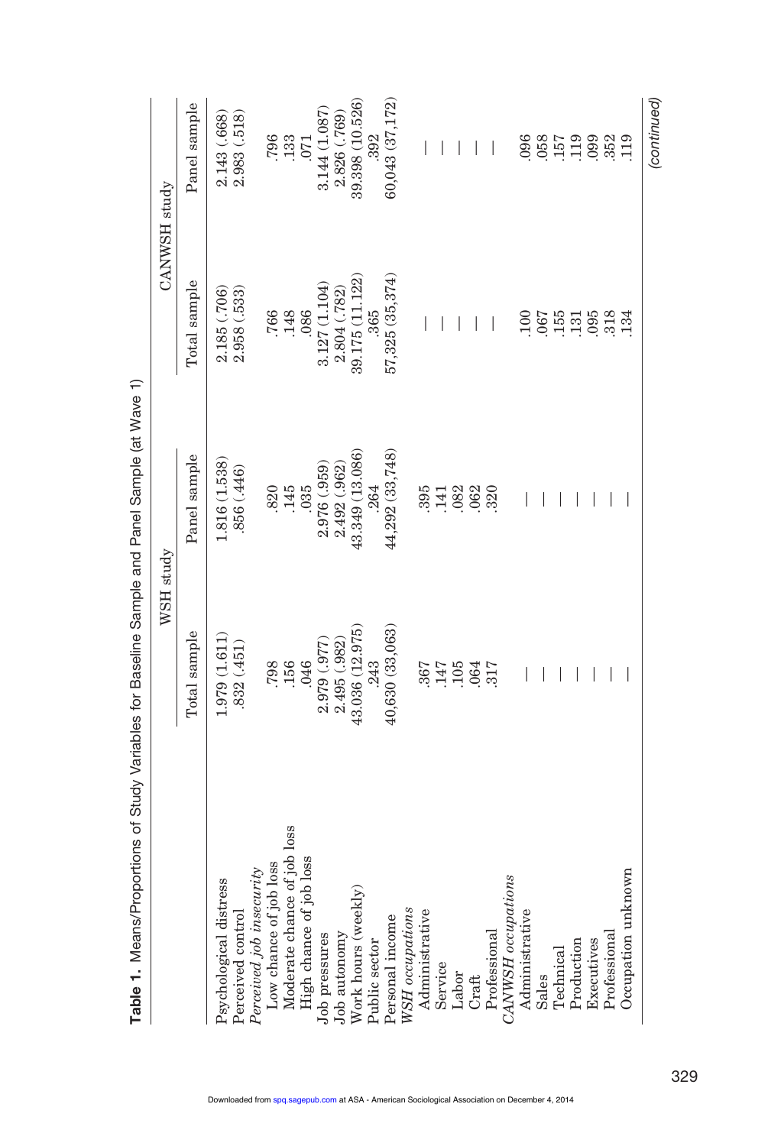| <b>IdDional International Science</b>                  | - אפאר האפאר און איינער איז א איינער איינער איינער איינער איינער איינער איינער איינער איינער איינער איינער אי |                   |                  |                  |
|--------------------------------------------------------|---------------------------------------------------------------------------------------------------------------|-------------------|------------------|------------------|
|                                                        |                                                                                                               | WSH study         | CANWSH study     |                  |
|                                                        | Total sample                                                                                                  | Panel sample      | Total sample     | Panel sample     |
| Psychological distress                                 | 1.979(1.611)                                                                                                  | 1.816 (1.538)     | 2.185 (.706)     | 2.143 (.668)     |
|                                                        | 832 (.451)                                                                                                    | 856 (.446)        | 2.958(.533)      | 2.983(.518)      |
| Perceived control<br><i>Perceived job insecurity</i>   |                                                                                                               |                   |                  |                  |
| Low chance of job loss                                 | 798                                                                                                           | .820              |                  |                  |
| Moderate chance of job loss<br>High chance of job loss | .156                                                                                                          | 145               | .766<br>148      | $.796$<br>$.133$ |
|                                                        | .046                                                                                                          | 035               | .086             | 071              |
|                                                        | 2.979 (.977)                                                                                                  | 2.976 (.959)      | 3.127 (1.104)    | 3.144 (1.087)    |
|                                                        | 2.495 (.982)                                                                                                  | 2.492 (.962)      | 2.804 (.782)     | 2.826 (.769)     |
| Job pressures<br>Job autonomy<br>Work hours (weekly)   | 43.036 (12.975)                                                                                               | 43.349 (13.086)   | 39.175 (11.122)  | 39.398 (10.526)  |
|                                                        | .243                                                                                                          | .264              | 365              | 392              |
| Public sector<br>Personal income                       | 40,630 (33,063)                                                                                               | 44,292 (33,748)   | 57,325 (35,374)  | 60,043 (37,172)  |
|                                                        |                                                                                                               |                   |                  |                  |
| WSH occupations<br>Administrative                      | 367                                                                                                           | 395               |                  |                  |
| Service                                                | 147<br>105<br>1064                                                                                            |                   |                  |                  |
| ${\rm Labor}\atop {\rm Craff}$                         |                                                                                                               | 141<br>082<br>062 |                  |                  |
|                                                        |                                                                                                               |                   |                  |                  |
|                                                        | 317                                                                                                           | 320               |                  |                  |
| Professional<br>CANWSH occupations                     |                                                                                                               |                   |                  |                  |
| Administrative                                         |                                                                                                               |                   | 100              | 096              |
|                                                        |                                                                                                               |                   |                  |                  |
| Sales<br>Technical                                     |                                                                                                               |                   | .155             | .157             |
| Production                                             |                                                                                                               |                   | $.131$<br>$.095$ | .119             |
| Executives                                             |                                                                                                               |                   |                  | .099             |
| Professional                                           |                                                                                                               |                   | 318              | .352             |
| Occupation unknown                                     |                                                                                                               |                   | 134              | 119              |
|                                                        |                                                                                                               |                   |                  | (continued)      |

**Table 1.** Means/Proportions of Study Variables for Baseline Sample and Panel Sample (at Wave 1) Table 1. Means/Proportions of Study Variables for Baseline Sample and Panel Sample (at Wave 1)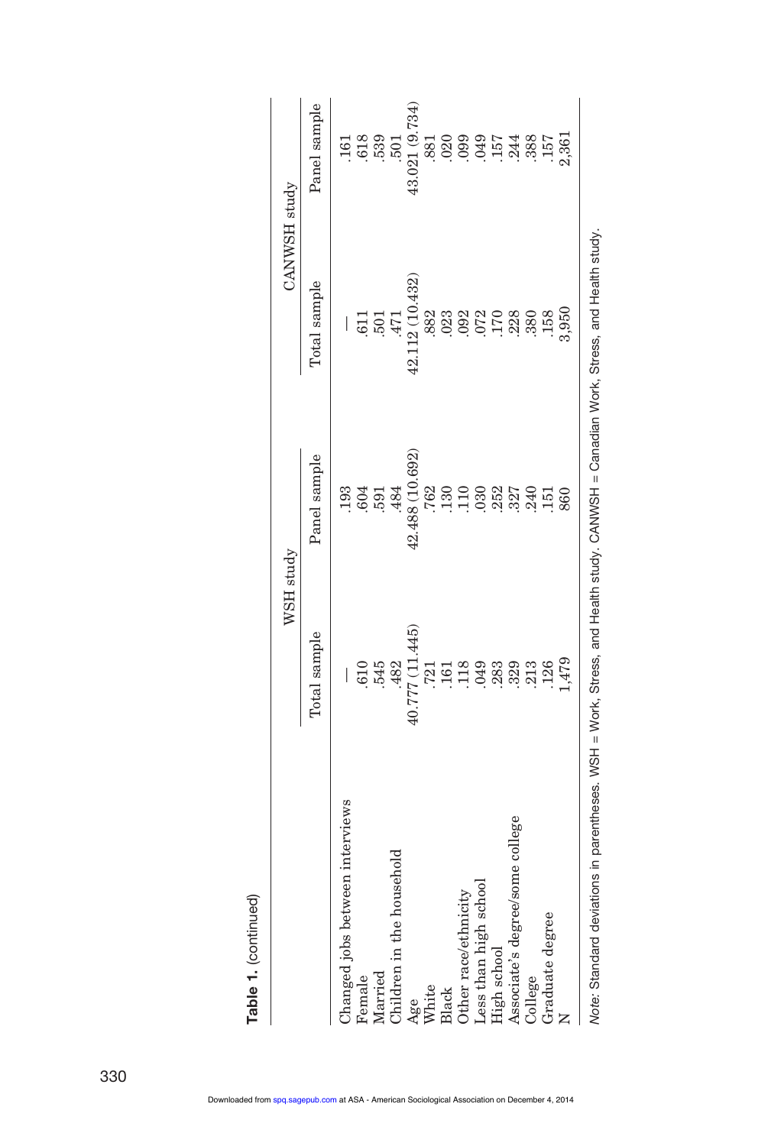|                                                                                                                                  |                                      | WSH study       | CANWSH study       |                |
|----------------------------------------------------------------------------------------------------------------------------------|--------------------------------------|-----------------|--------------------|----------------|
|                                                                                                                                  | Total sample                         | Panel sample    | Total sample       | Panel sample   |
| Changed jobs between interviews                                                                                                  |                                      | 193             |                    | 161            |
| Female                                                                                                                           |                                      | .604            |                    |                |
| Married                                                                                                                          | 0.545                                | 591             | $\frac{611}{501}$  | .539           |
| Children in the household                                                                                                        | .482                                 | .484            | 471                | 501            |
| Age                                                                                                                              | 40.777 (11.445)                      | 42.488 (10.692) | 42.112 (10.432)    | 43.021 (9.734) |
| White                                                                                                                            |                                      | .762            | 882                | 881            |
|                                                                                                                                  |                                      | 130             | 023                |                |
| Black<br>Other race/ethnicity                                                                                                    | n u u u u u u u<br>N u u u u u u u u | 110             |                    |                |
|                                                                                                                                  |                                      | 030             |                    |                |
| Less than high school<br>High school                                                                                             |                                      |                 | 092<br>072<br>1728 |                |
| Associate's degree/some college                                                                                                  |                                      | 2527            |                    |                |
| College                                                                                                                          | 213                                  | 240             | .380               |                |
| Graduate degree                                                                                                                  | <b>126</b>                           | .151            | .158               |                |
|                                                                                                                                  | 1,479                                | 860             | 3,950              | 2,361          |
| Note: Standard deviations in parentheses. WSH = Work, Stress, and Health study. CANWSH = Canadian Work, Stress, and Health study |                                      |                 |                    |                |

Table 1. (continued) Table 1. (continued)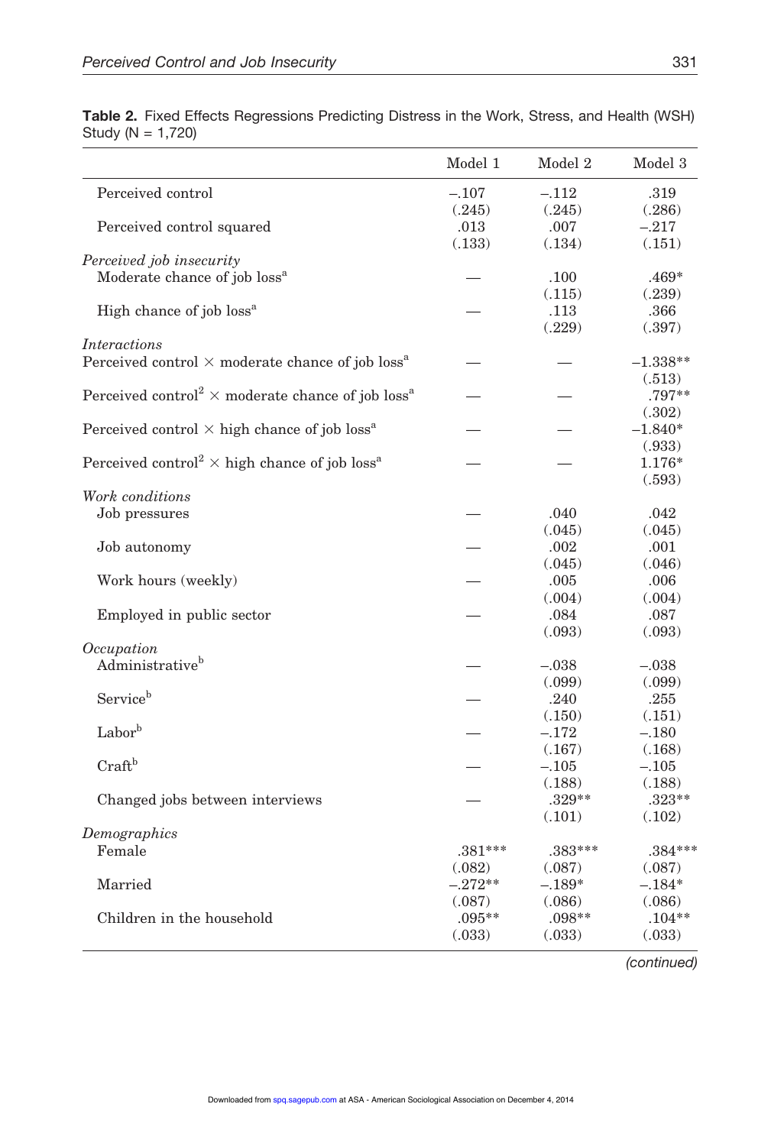|                                                                                            | Model 1                       | Model 2                      | Model 3                       |
|--------------------------------------------------------------------------------------------|-------------------------------|------------------------------|-------------------------------|
| Perceived control                                                                          | $-.107$                       | $-.112$                      | .319                          |
| Perceived control squared                                                                  | (.245)<br>.013<br>(.133)      | (.245)<br>.007<br>(.134)     | (.286)<br>$-.217$<br>(.151)   |
| Perceived job insecurity<br>Moderate chance of job loss <sup>a</sup>                       |                               | .100                         | .469*                         |
| High chance of job loss <sup>a</sup>                                                       |                               | (.115)<br>.113<br>(.229)     | (.239)<br>.366<br>(.397)      |
| <i>Interactions</i><br>Perceived control $\times$ moderate chance of job loss <sup>a</sup> |                               |                              | $-1.338**$                    |
| Perceived control <sup>2</sup> $\times$ moderate chance of job loss <sup>a</sup>           |                               |                              | (.513)<br>.797**              |
| Perceived control $\times$ high chance of job loss <sup>a</sup>                            |                               |                              | (.302)<br>$-1.840*$<br>(.933) |
| Perceived control <sup>2</sup> $\times$ high chance of job loss <sup>a</sup>               |                               |                              | 1.176*<br>(.593)              |
| Work conditions<br>Job pressures                                                           |                               | .040<br>(.045)               | .042<br>(.045)                |
| Job autonomy                                                                               |                               | .002<br>(.045)               | .001<br>(.046)                |
| Work hours (weekly)                                                                        |                               | .005<br>(.004)               | .006<br>(.004)                |
| Employed in public sector                                                                  |                               | .084<br>(.093)               | .087<br>(.093)                |
| Occupation<br>Administrative <sup>b</sup>                                                  |                               | $-.038$                      | $-.038$                       |
| Service <sup>b</sup>                                                                       |                               | (.099)<br>.240<br>(.150)     | (.099)<br>.255<br>(.151)      |
| Laborb                                                                                     |                               | $-.172$<br>(.167)            | $-.180$<br>(.168)             |
| Craff <sup>b</sup>                                                                         |                               | $-.105$<br>(.188)            | $-.105$<br>(.188)             |
| Changed jobs between interviews                                                            |                               | $.329**$<br>(.101)           | $.323**$<br>(.102)            |
| Demographics<br>Female                                                                     | $.381***$                     | $.383***$                    | $.384***$                     |
| Married                                                                                    | (.082)<br>$-.272**$<br>(.087) | (.087)<br>$-.189*$<br>(.086) | (.087)<br>$-.184*$            |
| Children in the household                                                                  | $.095**$<br>(.033)            | $.098**$<br>(.033)           | (.086)<br>$.104**$<br>(.033)  |

Table 2. Fixed Effects Regressions Predicting Distress in the Work, Stress, and Health (WSH) Study (N = 1,720)

*(continued)*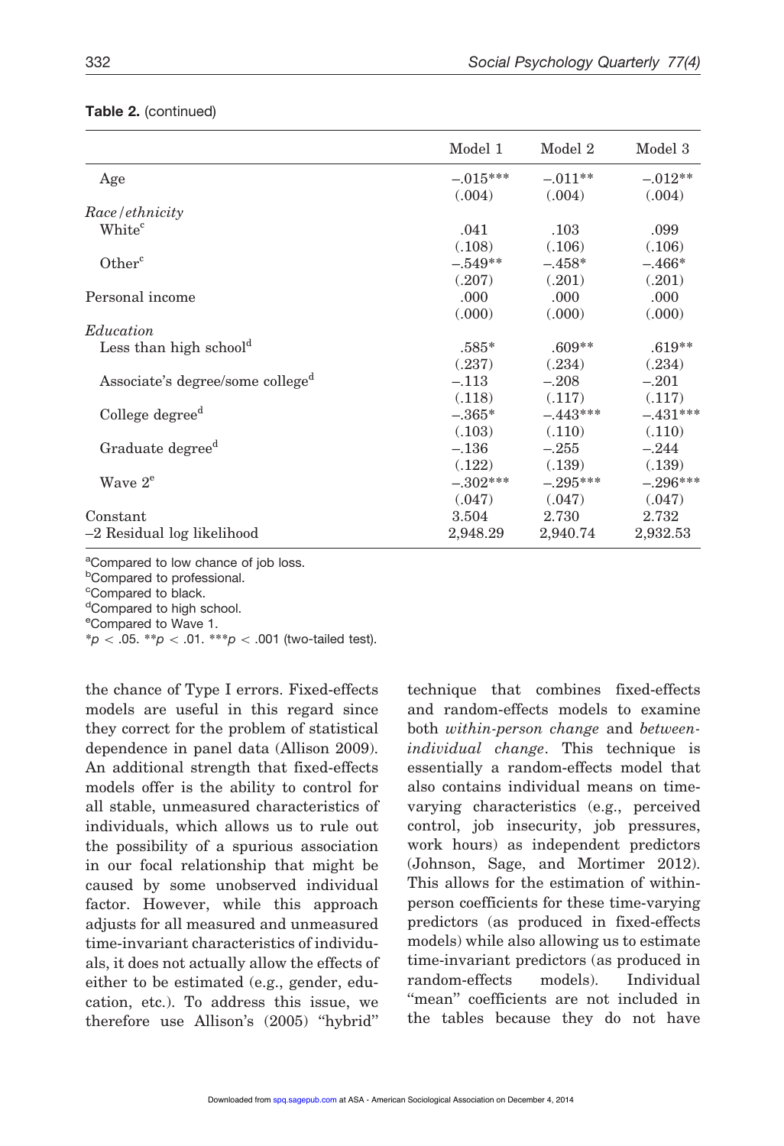|                                              | Model 1    | Model 2    | Model 3    |
|----------------------------------------------|------------|------------|------------|
| Age                                          | $-.015***$ | $-.011**$  | $-.012**$  |
|                                              | (.004)     | (.004)     | (.004)     |
| Race/ethnicity                               |            |            |            |
| White <sup>c</sup>                           | .041       | .103       | .099       |
| Other <sup>c</sup>                           | (.108)     | (.106)     | (.106)     |
|                                              | $-.549**$  | $-.458*$   | $-.466*$   |
| Personal income                              | (.207)     | (.201)     | (.201)     |
|                                              | .000.      | .000       | .000       |
| Education                                    | (.000)     | (.000)     | (.000)     |
| Less than high school <sup>d</sup>           | $.585*$    | $.609**$   | $.619**$   |
|                                              | (.237)     | (.234)     | (.234)     |
| Associate's degree/some college <sup>d</sup> | $-.113$    | $-.208$    | $-.201$    |
| College degree <sup>d</sup>                  | (.118)     | (.117)     | (.117)     |
|                                              | $-.365*$   | $-.443***$ | $-.431***$ |
| Graduate degree <sup>d</sup>                 | (.103)     | (.110)     | (.110)     |
|                                              | $-.136$    | $-.255$    | $-.244$    |
| Wave $2^e$                                   | (.122)     | (.139)     | (.139)     |
|                                              | $-.302***$ | $-.295***$ | $-.296***$ |
|                                              | (.047)     | (.047)     | (.047)     |
| Constant                                     | 3.504      | 2.730      | 2.732      |
| $-2$ Residual log likelihood                 | 2,948.29   | 2,940.74   | 2,932.53   |
|                                              |            |            |            |

### Table 2. (continued)

<sup>a</sup>Compared to low chance of job loss.

<sup>b</sup>Compared to professional.

<sup>c</sup>Compared to black.

<sup>d</sup>Compared to high school.

<sup>e</sup>Compared to Wave 1.

 $*p < .05.$  \*\**p*  $< .01.$  \*\*\**p*  $< .001$  (two-tailed test).

the chance of Type I errors. Fixed-effects models are useful in this regard since they correct for the problem of statistical dependence in panel data (Allison 2009). An additional strength that fixed-effects models offer is the ability to control for all stable, unmeasured characteristics of individuals, which allows us to rule out the possibility of a spurious association in our focal relationship that might be caused by some unobserved individual factor. However, while this approach adjusts for all measured and unmeasured time-invariant characteristics of individuals, it does not actually allow the effects of either to be estimated (e.g., gender, education, etc.). To address this issue, we therefore use Allison's (2005) ''hybrid''

technique that combines fixed-effects and random-effects models to examine both within-person change and betweenindividual change. This technique is essentially a random-effects model that also contains individual means on timevarying characteristics (e.g., perceived control, job insecurity, job pressures, work hours) as independent predictors (Johnson, Sage, and Mortimer 2012). This allows for the estimation of withinperson coefficients for these time-varying predictors (as produced in fixed-effects models) while also allowing us to estimate time-invariant predictors (as produced in random-effects models). Individual ''mean'' coefficients are not included in the tables because they do not have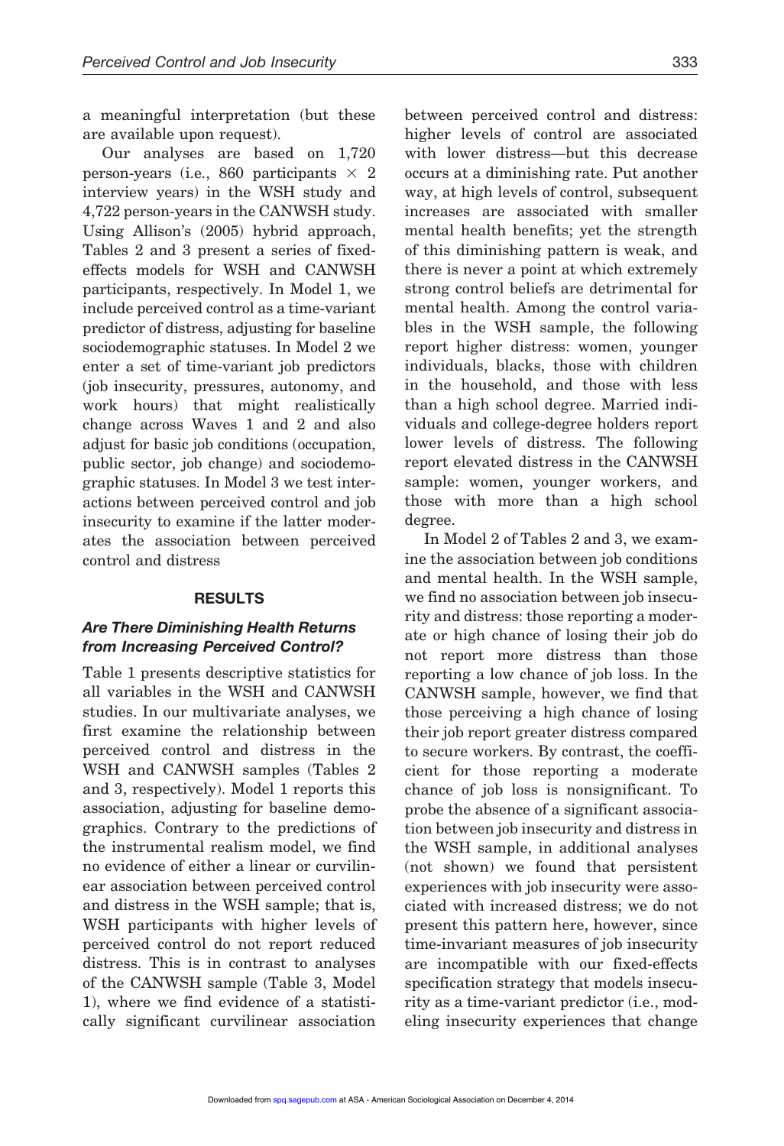a meaningful interpretation (but these are available upon request).

Our analyses are based on 1,720 person-years (i.e., 860 participants  $\times$  2 interview years) in the WSH study and 4,722 person-years in the CANWSH study. Using Allison's (2005) hybrid approach, Tables 2 and 3 present a series of fixedeffects models for WSH and CANWSH participants, respectively. In Model 1, we include perceived control as a time-variant predictor of distress, adjusting for baseline sociodemographic statuses. In Model 2 we enter a set of time-variant job predictors (job insecurity, pressures, autonomy, and work hours) that might realistically change across Waves 1 and 2 and also adjust for basic job conditions (occupation, public sector, job change) and sociodemographic statuses. In Model 3 we test interactions between perceived control and job insecurity to examine if the latter moderates the association between perceived control and distress

#### RESULTS

## Are There Diminishing Health Returns from Increasing Perceived Control?

Table 1 presents descriptive statistics for all variables in the WSH and CANWSH studies. In our multivariate analyses, we first examine the relationship between perceived control and distress in the WSH and CANWSH samples (Tables 2 and 3, respectively). Model 1 reports this association, adjusting for baseline demographics. Contrary to the predictions of the instrumental realism model, we find no evidence of either a linear or curvilinear association between perceived control and distress in the WSH sample; that is, WSH participants with higher levels of perceived control do not report reduced distress. This is in contrast to analyses of the CANWSH sample (Table 3, Model 1), where we find evidence of a statistically significant curvilinear association between perceived control and distress: higher levels of control are associated with lower distress—but this decrease occurs at a diminishing rate. Put another way, at high levels of control, subsequent increases are associated with smaller mental health benefits; yet the strength of this diminishing pattern is weak, and there is never a point at which extremely strong control beliefs are detrimental for mental health. Among the control variables in the WSH sample, the following report higher distress: women, younger individuals, blacks, those with children in the household, and those with less than a high school degree. Married individuals and college-degree holders report lower levels of distress. The following report elevated distress in the CANWSH sample: women, younger workers, and those with more than a high school degree.

In Model 2 of Tables 2 and 3, we examine the association between job conditions and mental health. In the WSH sample, we find no association between job insecurity and distress: those reporting a moderate or high chance of losing their job do not report more distress than those reporting a low chance of job loss. In the CANWSH sample, however, we find that those perceiving a high chance of losing their job report greater distress compared to secure workers. By contrast, the coefficient for those reporting a moderate chance of job loss is nonsignificant. To probe the absence of a significant association between job insecurity and distress in the WSH sample, in additional analyses (not shown) we found that persistent experiences with job insecurity were associated with increased distress; we do not present this pattern here, however, since time-invariant measures of job insecurity are incompatible with our fixed-effects specification strategy that models insecurity as a time-variant predictor (i.e., modeling insecurity experiences that change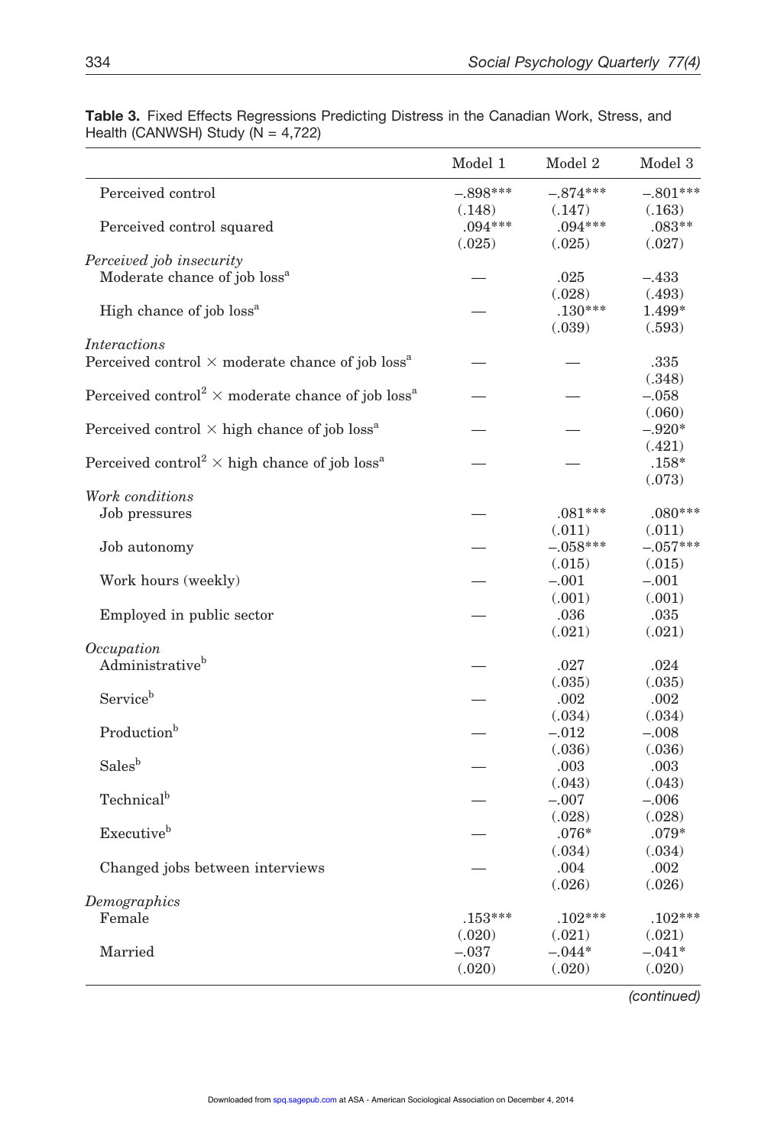|                                                                                            | Model 1              | Model 2                        | Model 3                        |
|--------------------------------------------------------------------------------------------|----------------------|--------------------------------|--------------------------------|
| Perceived control                                                                          | $-.898***$<br>(.148) | $-.874***$<br>(.147)           | $-.801***$<br>(.163)           |
| Perceived control squared                                                                  | $.094***$<br>(.025)  | $.094***$<br>(.025)            | $.083**$<br>(.027)             |
| Perceived job insecurity<br>Moderate chance of job loss <sup>a</sup>                       |                      | .025                           | $-.433$                        |
| High chance of job loss <sup>a</sup>                                                       |                      | (.028)<br>.130***<br>(.039)    | (.493)<br>1.499*<br>(.593)     |
| <i>Interactions</i><br>Perceived control $\times$ moderate chance of job loss <sup>a</sup> |                      |                                | .335                           |
| Perceived control <sup>2</sup> $\times$ moderate chance of job loss <sup>a</sup>           |                      |                                | (.348)<br>$-.058$<br>(.060)    |
| Perceived control $\times$ high chance of job loss <sup>a</sup>                            |                      |                                | $-.920*$<br>(.421)             |
| Perceived control <sup>2</sup> $\times$ high chance of job loss <sup>a</sup>               |                      |                                | $.158*$<br>(.073)              |
| Work conditions<br>Job pressures                                                           |                      | $.081***$                      | $.080***$                      |
| Job autonomy                                                                               |                      | (.011)<br>$-.058***$<br>(.015) | (.011)<br>$-.057***$<br>(.015) |
| Work hours (weekly)                                                                        |                      | $-.001$<br>(.001)              | $-.001$<br>(.001)              |
| Employed in public sector                                                                  |                      | .036<br>(.021)                 | .035<br>(.021)                 |
| Occupation<br>Administrative <sup>b</sup>                                                  |                      | .027                           | .024                           |
| Service <sup>b</sup>                                                                       |                      | (.035)<br>.002<br>(.034)       | (.035)<br>.002<br>(.034)       |
| Production <sup>b</sup>                                                                    |                      | $-.012$<br>(.036)              | $-.008$<br>(.036)              |
| Salesb                                                                                     |                      | .003<br>(.043)                 | .003<br>(.043)                 |
| Technical <sup>b</sup>                                                                     |                      | $-.007$<br>(.028)              | $-.006$<br>(.028)              |
| Executive <sup>b</sup>                                                                     |                      | $.076*$<br>(.034)              | $.079*$<br>(.034)              |
| Changed jobs between interviews                                                            |                      | .004<br>(.026)                 | .002<br>(.026)                 |
| Demographics                                                                               |                      |                                |                                |
| Female                                                                                     | $.153***$            | $.102***$                      | $.102***$                      |
|                                                                                            | (.020)               | (.021)                         | (.021)                         |
| Married                                                                                    | $-.037$              | $-.044*$                       | $-.041*$                       |
|                                                                                            | (.020)               | (.020)                         | (.020)                         |

Table 3. Fixed Effects Regressions Predicting Distress in the Canadian Work, Stress, and Health (CANWSH) Study  $(N = 4,722)$ 

*(continued)*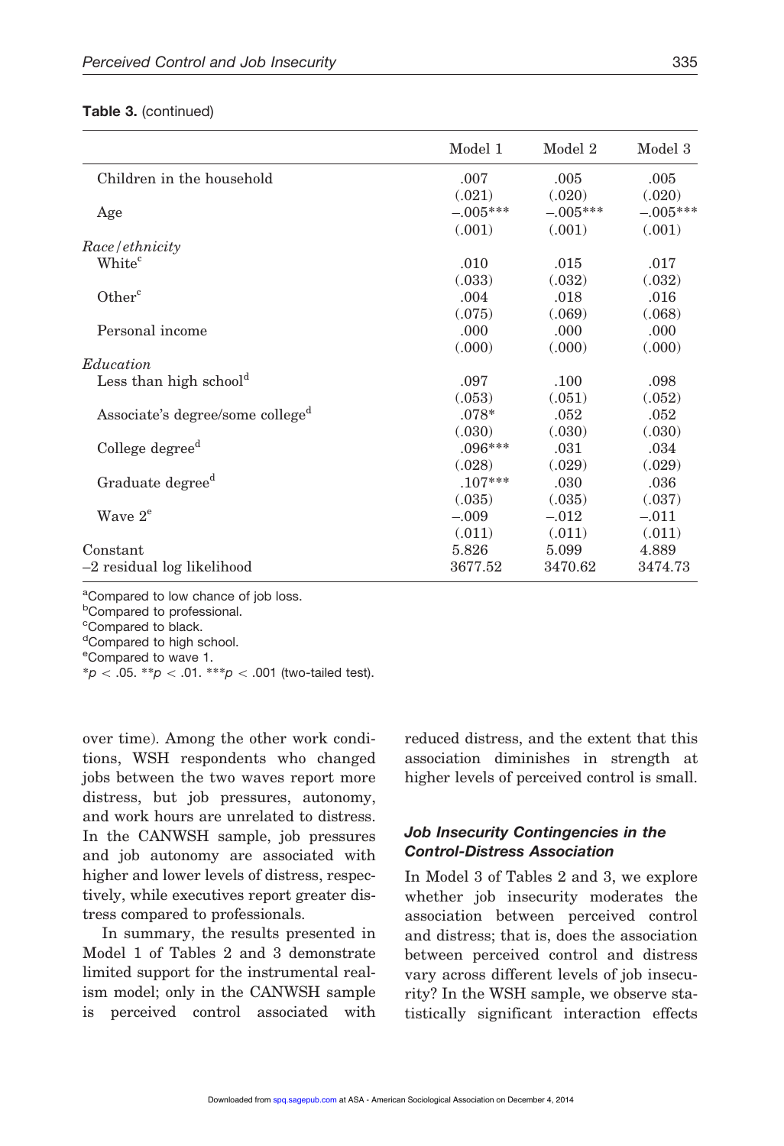#### Table 3. (continued)

|                                              | Model 1    | Model 2    | Model 3    |
|----------------------------------------------|------------|------------|------------|
| Children in the household                    | .007       | .005       | .005       |
|                                              | (.021)     | (.020)     | (.020)     |
| Age                                          | $-.005***$ | $-.005***$ | $-.005***$ |
|                                              | (.001)     | (.001)     | (.001)     |
| Race/ethnicity                               |            |            |            |
| White <sup>c</sup>                           | .010       | .015       | .017       |
|                                              | (.033)     | (.032)     | (.032)     |
| Other <sup>c</sup>                           | .004       | .018       | .016       |
|                                              | (.075)     | (.069)     | (.068)     |
| Personal income                              | .000       | .000       | .000       |
|                                              | (.000)     | (.000)     | (.000)     |
| Education                                    |            |            |            |
| Less than high school <sup>d</sup>           | .097       | .100       | .098       |
|                                              | (.053)     | (.051)     | (.052)     |
| Associate's degree/some college <sup>d</sup> | $.078*$    | .052       | .052       |
|                                              | (.030)     | (.030)     | (.030)     |
| College degree <sup>d</sup>                  | $.096***$  | .031       | .034       |
|                                              | (.028)     | (.029)     | (.029)     |
| Graduate degree <sup>d</sup>                 | $.107***$  | .030       | .036       |
|                                              | (.035)     | (.035)     | (.037)     |
| Wave $2^e$                                   | $-.009$    | $-.012$    | $-.011$    |
|                                              | (.011)     | (.011)     | (.011)     |
| Constant                                     | 5.826      | 5.099      | 4.889      |
| $-2$ residual log likelihood                 | 3677.52    | 3470.62    | 3474.73    |

<sup>a</sup>Compared to low chance of job loss.

**bCompared to professional.** 

<sup>c</sup>Compared to black.

<sup>d</sup>Compared to high school.

<sup>e</sup>Compared to wave 1.

 $*p < .05.$  \*\**p*  $< .01.$  \*\*\**p*  $< .001$  (two-tailed test).

over time). Among the other work conditions, WSH respondents who changed jobs between the two waves report more distress, but job pressures, autonomy, and work hours are unrelated to distress. In the CANWSH sample, job pressures and job autonomy are associated with higher and lower levels of distress, respectively, while executives report greater distress compared to professionals.

In summary, the results presented in Model 1 of Tables 2 and 3 demonstrate limited support for the instrumental realism model; only in the CANWSH sample is perceived control associated with reduced distress, and the extent that this association diminishes in strength at higher levels of perceived control is small.

# Job Insecurity Contingencies in the Control-Distress Association

In Model 3 of Tables 2 and 3, we explore whether job insecurity moderates the association between perceived control and distress; that is, does the association between perceived control and distress vary across different levels of job insecurity? In the WSH sample, we observe statistically significant interaction effects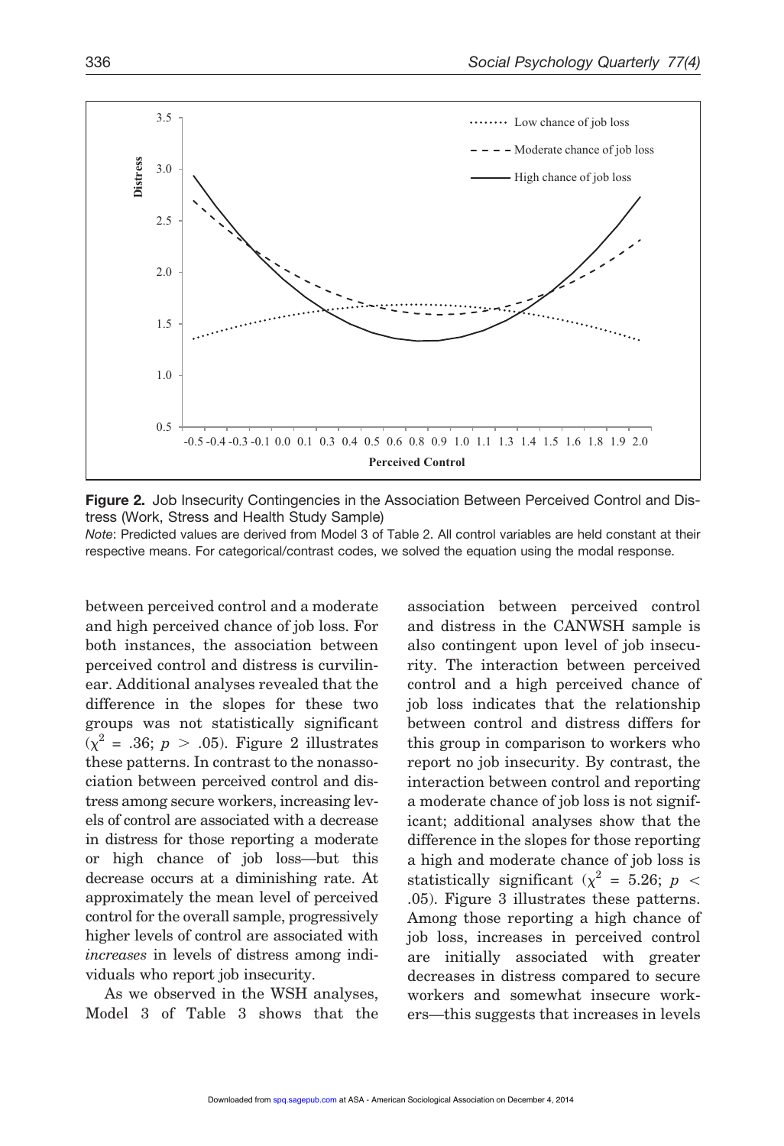

Figure 2. Job Insecurity Contingencies in the Association Between Perceived Control and Distress (Work, Stress and Health Study Sample)

*Note*: Predicted values are derived from Model 3 of Table 2. All control variables are held constant at their respective means. For categorical/contrast codes, we solved the equation using the modal response.

between perceived control and a moderate and high perceived chance of job loss. For both instances, the association between perceived control and distress is curvilinear. Additional analyses revealed that the difference in the slopes for these two groups was not statistically significant  $(\chi^2 = .36; p > .05)$ . Figure 2 illustrates these patterns. In contrast to the nonassociation between perceived control and distress among secure workers, increasing levels of control are associated with a decrease in distress for those reporting a moderate or high chance of job loss—but this decrease occurs at a diminishing rate. At approximately the mean level of perceived control for the overall sample, progressively higher levels of control are associated with increases in levels of distress among individuals who report job insecurity.

As we observed in the WSH analyses, Model 3 of Table 3 shows that the association between perceived control and distress in the CANWSH sample is also contingent upon level of job insecurity. The interaction between perceived control and a high perceived chance of job loss indicates that the relationship between control and distress differs for this group in comparison to workers who report no job insecurity. By contrast, the interaction between control and reporting a moderate chance of job loss is not significant; additional analyses show that the difference in the slopes for those reporting a high and moderate chance of job loss is statistically significant ( $\chi^2$  = 5.26; p < .05). Figure 3 illustrates these patterns. Among those reporting a high chance of job loss, increases in perceived control are initially associated with greater decreases in distress compared to secure workers and somewhat insecure workers—this suggests that increases in levels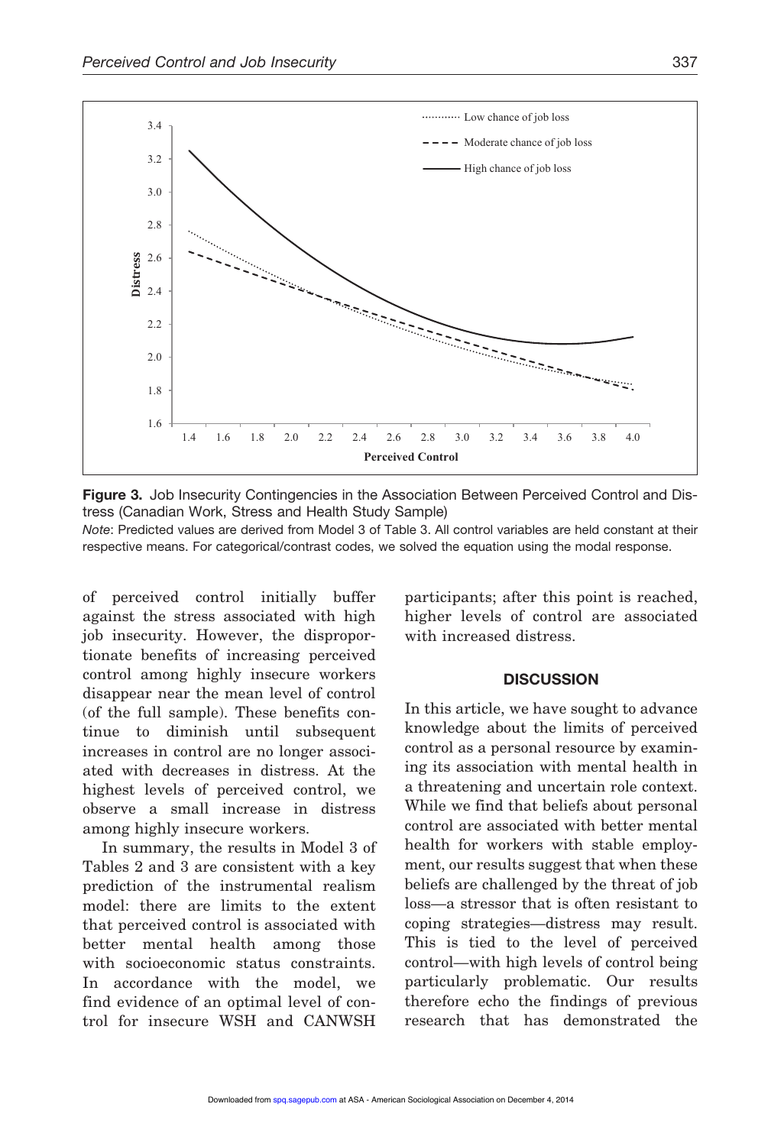

Figure 3. Job Insecurity Contingencies in the Association Between Perceived Control and Distress (Canadian Work, Stress and Health Study Sample)

*Note*: Predicted values are derived from Model 3 of Table 3. All control variables are held constant at their respective means. For categorical/contrast codes, we solved the equation using the modal response.

of perceived control initially buffer against the stress associated with high job insecurity. However, the disproportionate benefits of increasing perceived control among highly insecure workers disappear near the mean level of control (of the full sample). These benefits continue to diminish until subsequent increases in control are no longer associated with decreases in distress. At the highest levels of perceived control, we observe a small increase in distress among highly insecure workers.

In summary, the results in Model 3 of Tables 2 and 3 are consistent with a key prediction of the instrumental realism model: there are limits to the extent that perceived control is associated with better mental health among those with socioeconomic status constraints. In accordance with the model we find evidence of an optimal level of control for insecure WSH and CANWSH participants; after this point is reached, higher levels of control are associated with increased distress.

#### **DISCUSSION**

In this article, we have sought to advance knowledge about the limits of perceived control as a personal resource by examining its association with mental health in a threatening and uncertain role context. While we find that beliefs about personal control are associated with better mental health for workers with stable employment, our results suggest that when these beliefs are challenged by the threat of job loss—a stressor that is often resistant to coping strategies—distress may result. This is tied to the level of perceived control—with high levels of control being particularly problematic. Our results therefore echo the findings of previous research that has demonstrated the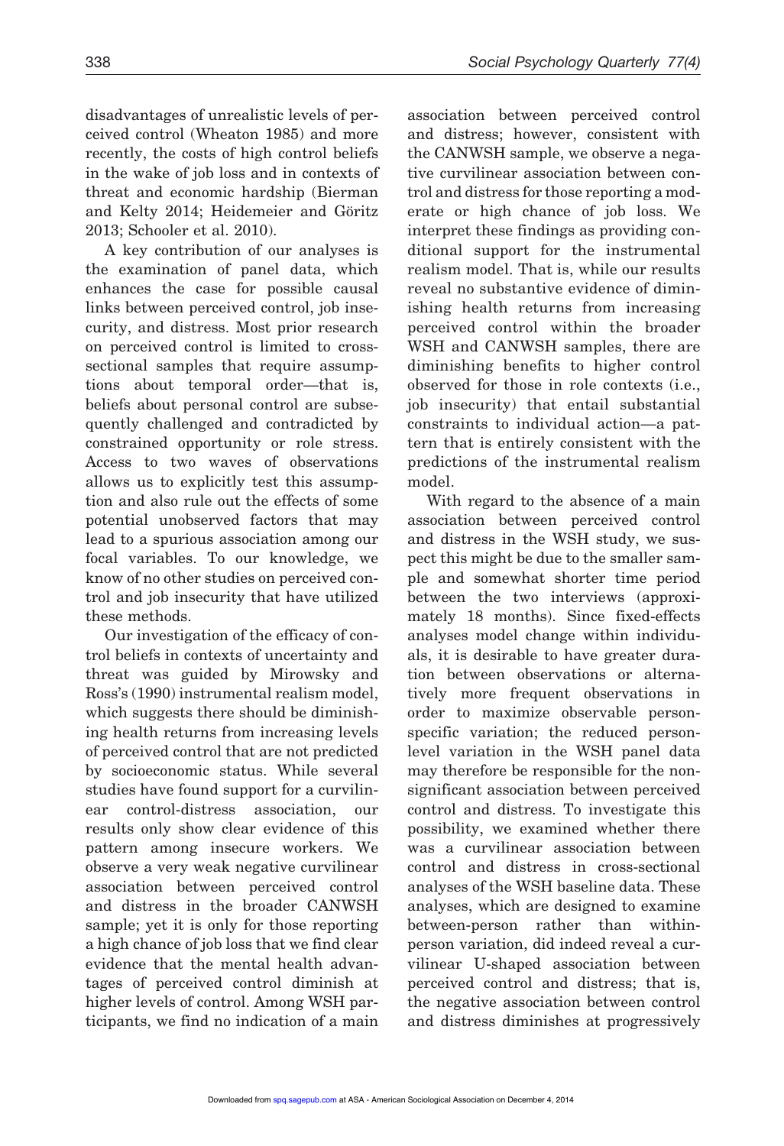disadvantages of unrealistic levels of perceived control (Wheaton 1985) and more recently, the costs of high control beliefs in the wake of job loss and in contexts of threat and economic hardship (Bierman and Kelty 2014; Heidemeier and Göritz 2013; Schooler et al. 2010).

A key contribution of our analyses is the examination of panel data, which enhances the case for possible causal links between perceived control, job insecurity, and distress. Most prior research on perceived control is limited to crosssectional samples that require assumptions about temporal order—that is, beliefs about personal control are subsequently challenged and contradicted by constrained opportunity or role stress. Access to two waves of observations allows us to explicitly test this assumption and also rule out the effects of some potential unobserved factors that may lead to a spurious association among our focal variables. To our knowledge, we know of no other studies on perceived control and job insecurity that have utilized these methods.

Our investigation of the efficacy of control beliefs in contexts of uncertainty and threat was guided by Mirowsky and Ross's (1990) instrumental realism model, which suggests there should be diminishing health returns from increasing levels of perceived control that are not predicted by socioeconomic status. While several studies have found support for a curvilinear control-distress association, our results only show clear evidence of this pattern among insecure workers. We observe a very weak negative curvilinear association between perceived control and distress in the broader CANWSH sample; yet it is only for those reporting a high chance of job loss that we find clear evidence that the mental health advantages of perceived control diminish at higher levels of control. Among WSH participants, we find no indication of a main

association between perceived control and distress; however, consistent with the CANWSH sample, we observe a negative curvilinear association between control and distress for those reporting a moderate or high chance of job loss. We interpret these findings as providing conditional support for the instrumental realism model. That is, while our results reveal no substantive evidence of diminishing health returns from increasing perceived control within the broader WSH and CANWSH samples, there are diminishing benefits to higher control observed for those in role contexts (i.e., job insecurity) that entail substantial constraints to individual action—a pattern that is entirely consistent with the predictions of the instrumental realism model.

With regard to the absence of a main association between perceived control and distress in the WSH study, we suspect this might be due to the smaller sample and somewhat shorter time period between the two interviews (approximately 18 months). Since fixed-effects analyses model change within individuals, it is desirable to have greater duration between observations or alternatively more frequent observations in order to maximize observable personspecific variation; the reduced personlevel variation in the WSH panel data may therefore be responsible for the nonsignificant association between perceived control and distress. To investigate this possibility, we examined whether there was a curvilinear association between control and distress in cross-sectional analyses of the WSH baseline data. These analyses, which are designed to examine between-person rather than withinperson variation, did indeed reveal a curvilinear U-shaped association between perceived control and distress; that is, the negative association between control and distress diminishes at progressively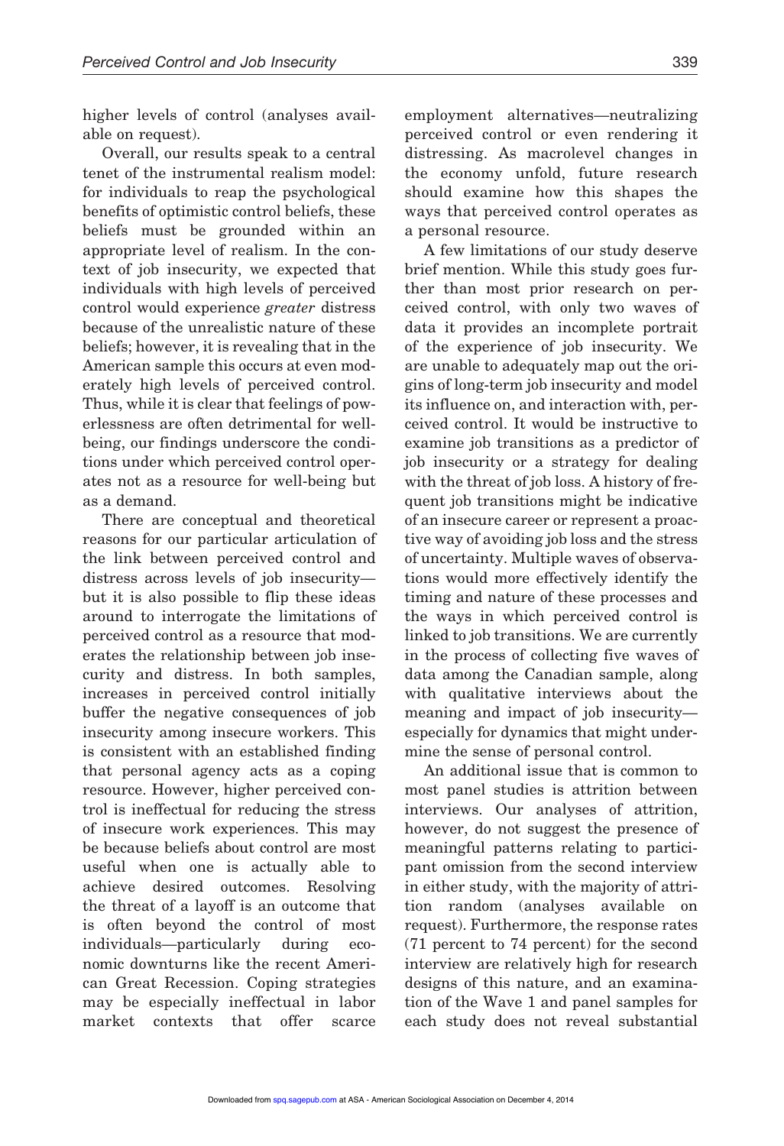higher levels of control (analyses available on request).

Overall, our results speak to a central tenet of the instrumental realism model: for individuals to reap the psychological benefits of optimistic control beliefs, these beliefs must be grounded within an appropriate level of realism. In the context of job insecurity, we expected that individuals with high levels of perceived control would experience greater distress because of the unrealistic nature of these beliefs; however, it is revealing that in the American sample this occurs at even moderately high levels of perceived control. Thus, while it is clear that feelings of powerlessness are often detrimental for wellbeing, our findings underscore the conditions under which perceived control operates not as a resource for well-being but as a demand.

There are conceptual and theoretical reasons for our particular articulation of the link between perceived control and distress across levels of job insecurity but it is also possible to flip these ideas around to interrogate the limitations of perceived control as a resource that moderates the relationship between job insecurity and distress. In both samples, increases in perceived control initially buffer the negative consequences of job insecurity among insecure workers. This is consistent with an established finding that personal agency acts as a coping resource. However, higher perceived control is ineffectual for reducing the stress of insecure work experiences. This may be because beliefs about control are most useful when one is actually able to achieve desired outcomes. Resolving the threat of a layoff is an outcome that is often beyond the control of most individuals—particularly during economic downturns like the recent American Great Recession. Coping strategies may be especially ineffectual in labor market contexts that offer scarce

employment alternatives—neutralizing perceived control or even rendering it distressing. As macrolevel changes in the economy unfold, future research should examine how this shapes the ways that perceived control operates as a personal resource.

A few limitations of our study deserve brief mention. While this study goes further than most prior research on perceived control, with only two waves of data it provides an incomplete portrait of the experience of job insecurity. We are unable to adequately map out the origins of long-term job insecurity and model its influence on, and interaction with, perceived control. It would be instructive to examine job transitions as a predictor of job insecurity or a strategy for dealing with the threat of job loss. A history of frequent job transitions might be indicative of an insecure career or represent a proactive way of avoiding job loss and the stress of uncertainty. Multiple waves of observations would more effectively identify the timing and nature of these processes and the ways in which perceived control is linked to job transitions. We are currently in the process of collecting five waves of data among the Canadian sample, along with qualitative interviews about the meaning and impact of job insecurity especially for dynamics that might undermine the sense of personal control.

An additional issue that is common to most panel studies is attrition between interviews. Our analyses of attrition, however, do not suggest the presence of meaningful patterns relating to participant omission from the second interview in either study, with the majority of attrition random (analyses available on request). Furthermore, the response rates (71 percent to 74 percent) for the second interview are relatively high for research designs of this nature, and an examination of the Wave 1 and panel samples for each study does not reveal substantial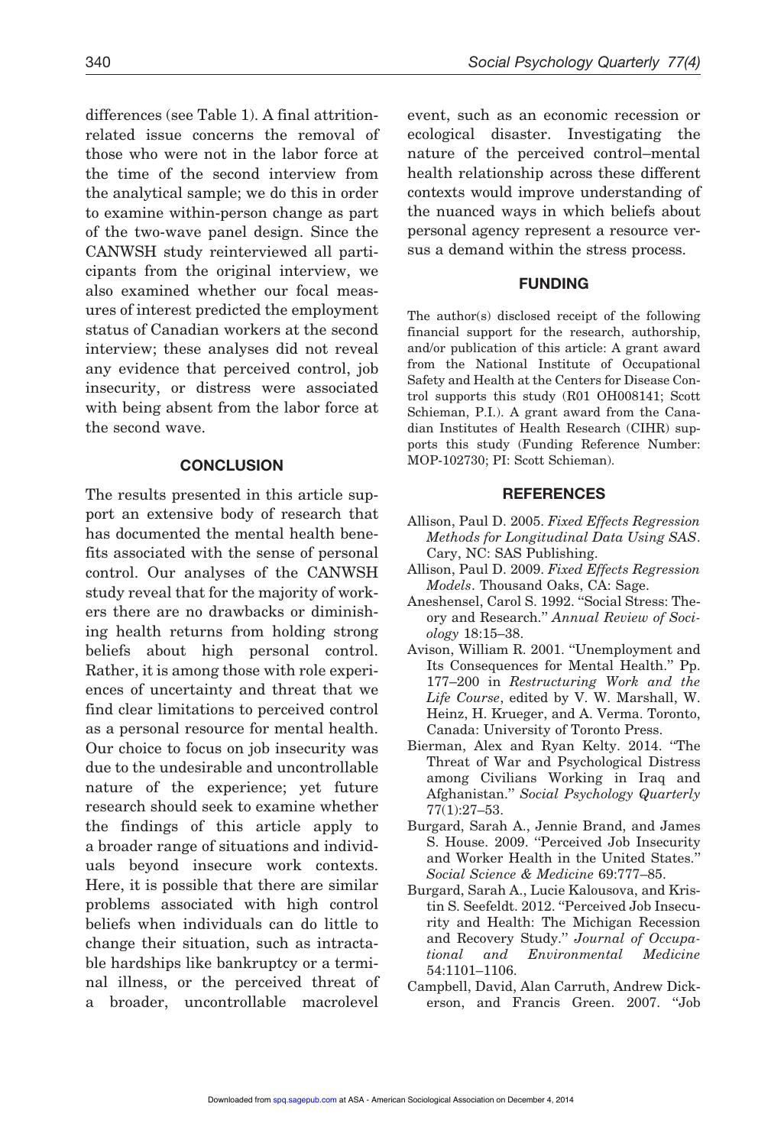differences (see Table 1). A final attritionrelated issue concerns the removal of those who were not in the labor force at the time of the second interview from the analytical sample; we do this in order to examine within-person change as part of the two-wave panel design. Since the CANWSH study reinterviewed all participants from the original interview, we also examined whether our focal measures of interest predicted the employment status of Canadian workers at the second interview; these analyses did not reveal any evidence that perceived control, job insecurity, or distress were associated with being absent from the labor force at the second wave.

#### **CONCLUSION**

The results presented in this article support an extensive body of research that has documented the mental health benefits associated with the sense of personal control. Our analyses of the CANWSH study reveal that for the majority of workers there are no drawbacks or diminishing health returns from holding strong beliefs about high personal control. Rather, it is among those with role experiences of uncertainty and threat that we find clear limitations to perceived control as a personal resource for mental health. Our choice to focus on job insecurity was due to the undesirable and uncontrollable nature of the experience; yet future research should seek to examine whether the findings of this article apply to a broader range of situations and individuals beyond insecure work contexts. Here, it is possible that there are similar problems associated with high control beliefs when individuals can do little to change their situation, such as intractable hardships like bankruptcy or a terminal illness, or the perceived threat of a broader, uncontrollable macrolevel event, such as an economic recession or ecological disaster. Investigating the nature of the perceived control–mental health relationship across these different contexts would improve understanding of the nuanced ways in which beliefs about personal agency represent a resource versus a demand within the stress process.

#### FUNDING

The author(s) disclosed receipt of the following financial support for the research, authorship, and/or publication of this article: A grant award from the National Institute of Occupational Safety and Health at the Centers for Disease Control supports this study (R01 OH008141; Scott Schieman, P.I.). A grant award from the Canadian Institutes of Health Research (CIHR) supports this study (Funding Reference Number: MOP-102730; PI: Scott Schieman).

#### **REFERENCES**

- Allison, Paul D. 2005. Fixed Effects Regression Methods for Longitudinal Data Using SAS. Cary, NC: SAS Publishing.
- Allison, Paul D. 2009. Fixed Effects Regression Models. Thousand Oaks, CA: Sage.
- Aneshensel, Carol S. 1992. ''Social Stress: Theory and Research.'' Annual Review of Sociology 18:15–38.
- Avison, William R. 2001. ''Unemployment and Its Consequences for Mental Health.'' Pp. 177–200 in Restructuring Work and the Life Course, edited by V. W. Marshall, W. Heinz, H. Krueger, and A. Verma. Toronto, Canada: University of Toronto Press.
- Bierman, Alex and Ryan Kelty. 2014. ''The Threat of War and Psychological Distress among Civilians Working in Iraq and Afghanistan.'' Social Psychology Quarterly 77(1):27–53.
- Burgard, Sarah A., Jennie Brand, and James S. House. 2009. ''Perceived Job Insecurity and Worker Health in the United States.'' Social Science & Medicine 69:777–85.
- Burgard, Sarah A., Lucie Kalousova, and Kristin S. Seefeldt. 2012. ''Perceived Job Insecurity and Health: The Michigan Recession and Recovery Study.'' Journal of Occupational and Environmental Medicine 54:1101–1106.
- Campbell, David, Alan Carruth, Andrew Dickerson, and Francis Green. 2007. ''Job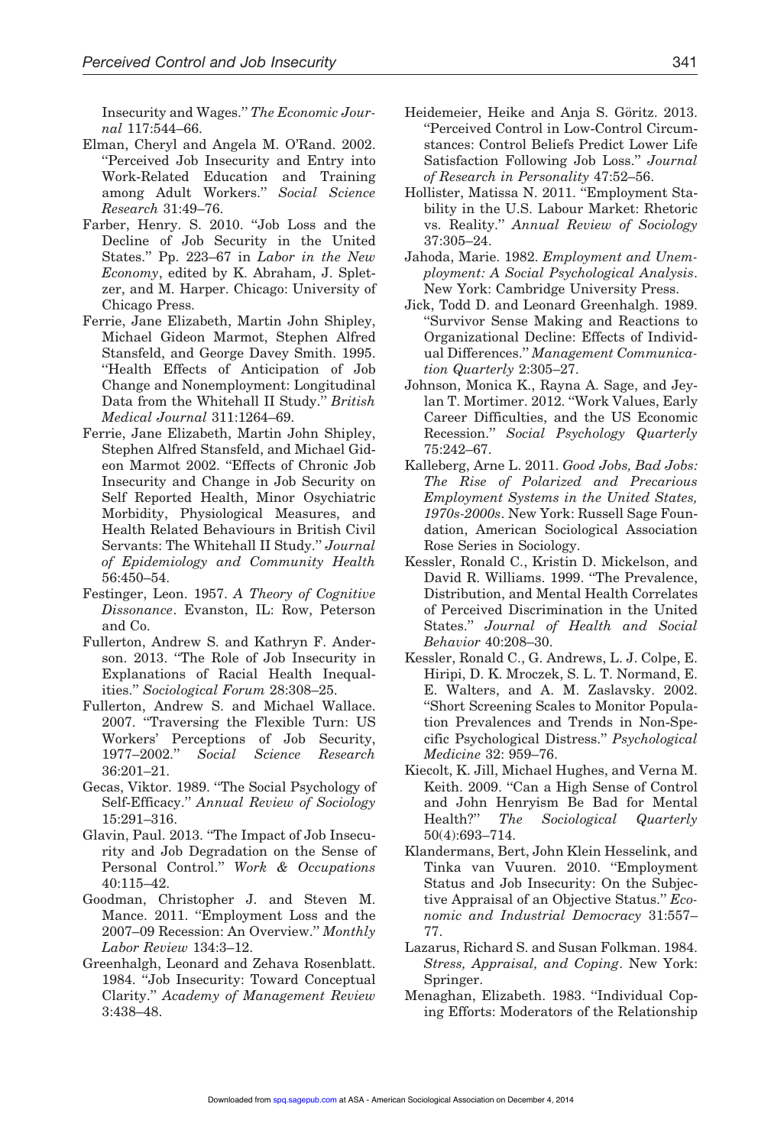Insecurity and Wages.'' The Economic Journal 117:544–66.

- Elman, Cheryl and Angela M. O'Rand. 2002. ''Perceived Job Insecurity and Entry into Work-Related Education and Training among Adult Workers.'' Social Science Research 31:49–76.
- Farber, Henry. S. 2010. "Job Loss and the Decline of Job Security in the United States.'' Pp. 223–67 in Labor in the New Economy, edited by K. Abraham, J. Spletzer, and M. Harper. Chicago: University of Chicago Press.
- Ferrie, Jane Elizabeth, Martin John Shipley, Michael Gideon Marmot, Stephen Alfred Stansfeld, and George Davey Smith. 1995. ''Health Effects of Anticipation of Job Change and Nonemployment: Longitudinal Data from the Whitehall II Study.'' British Medical Journal 311:1264–69.
- Ferrie, Jane Elizabeth, Martin John Shipley, Stephen Alfred Stansfeld, and Michael Gideon Marmot 2002. ''Effects of Chronic Job Insecurity and Change in Job Security on Self Reported Health, Minor Osychiatric Morbidity, Physiological Measures, and Health Related Behaviours in British Civil Servants: The Whitehall II Study.'' Journal of Epidemiology and Community Health 56:450–54.
- Festinger, Leon. 1957. A Theory of Cognitive Dissonance. Evanston, IL: Row, Peterson and Co.
- Fullerton, Andrew S. and Kathryn F. Anderson. 2013. ''The Role of Job Insecurity in Explanations of Racial Health Inequalities.'' Sociological Forum 28:308–25.
- Fullerton, Andrew S. and Michael Wallace. 2007. ''Traversing the Flexible Turn: US Workers' Perceptions of Job Security, 1977–2002.'' Social Science Research 36:201–21.
- Gecas, Viktor. 1989. ''The Social Psychology of Self-Efficacy.'' Annual Review of Sociology 15:291–316.
- Glavin, Paul. 2013. ''The Impact of Job Insecurity and Job Degradation on the Sense of Personal Control.'' Work & Occupations 40:115–42.
- Goodman, Christopher J. and Steven M. Mance. 2011. ''Employment Loss and the 2007–09 Recession: An Overview.'' Monthly Labor Review 134:3–12.
- Greenhalgh, Leonard and Zehava Rosenblatt. 1984. ''Job Insecurity: Toward Conceptual Clarity.'' Academy of Management Review 3:438–48.
- Heidemeier, Heike and Anja S. Göritz. 2013. ''Perceived Control in Low-Control Circumstances: Control Beliefs Predict Lower Life Satisfaction Following Job Loss.'' Journal of Research in Personality 47:52–56.
- Hollister, Matissa N. 2011. ''Employment Stability in the U.S. Labour Market: Rhetoric vs. Reality.'' Annual Review of Sociology 37:305–24.
- Jahoda, Marie. 1982. Employment and Unemployment: A Social Psychological Analysis. New York: Cambridge University Press.
- Jick, Todd D. and Leonard Greenhalgh. 1989. ''Survivor Sense Making and Reactions to Organizational Decline: Effects of Individual Differences.'' Management Communication Quarterly 2:305–27.
- Johnson, Monica K., Rayna A. Sage, and Jeylan T. Mortimer. 2012. ''Work Values, Early Career Difficulties, and the US Economic Recession.'' Social Psychology Quarterly 75:242–67.
- Kalleberg, Arne L. 2011. Good Jobs, Bad Jobs: The Rise of Polarized and Precarious Employment Systems in the United States, 1970s-2000s. New York: Russell Sage Foundation, American Sociological Association Rose Series in Sociology.
- Kessler, Ronald C., Kristin D. Mickelson, and David R. Williams. 1999. ''The Prevalence, Distribution, and Mental Health Correlates of Perceived Discrimination in the United States.'' Journal of Health and Social Behavior 40:208–30.
- Kessler, Ronald C., G. Andrews, L. J. Colpe, E. Hiripi, D. K. Mroczek, S. L. T. Normand, E. E. Walters, and A. M. Zaslavsky. 2002. ''Short Screening Scales to Monitor Population Prevalences and Trends in Non-Specific Psychological Distress.'' Psychological Medicine 32: 959–76.
- Kiecolt, K. Jill, Michael Hughes, and Verna M. Keith. 2009. ''Can a High Sense of Control and John Henryism Be Bad for Mental Health?'' The Sociological Quarterly 50(4):693–714.
- Klandermans, Bert, John Klein Hesselink, and Tinka van Vuuren. 2010. ''Employment Status and Job Insecurity: On the Subjective Appraisal of an Objective Status.'' Economic and Industrial Democracy 31:557– 77.
- Lazarus, Richard S. and Susan Folkman. 1984. Stress, Appraisal, and Coping. New York: Springer.
- Menaghan, Elizabeth. 1983. ''Individual Coping Efforts: Moderators of the Relationship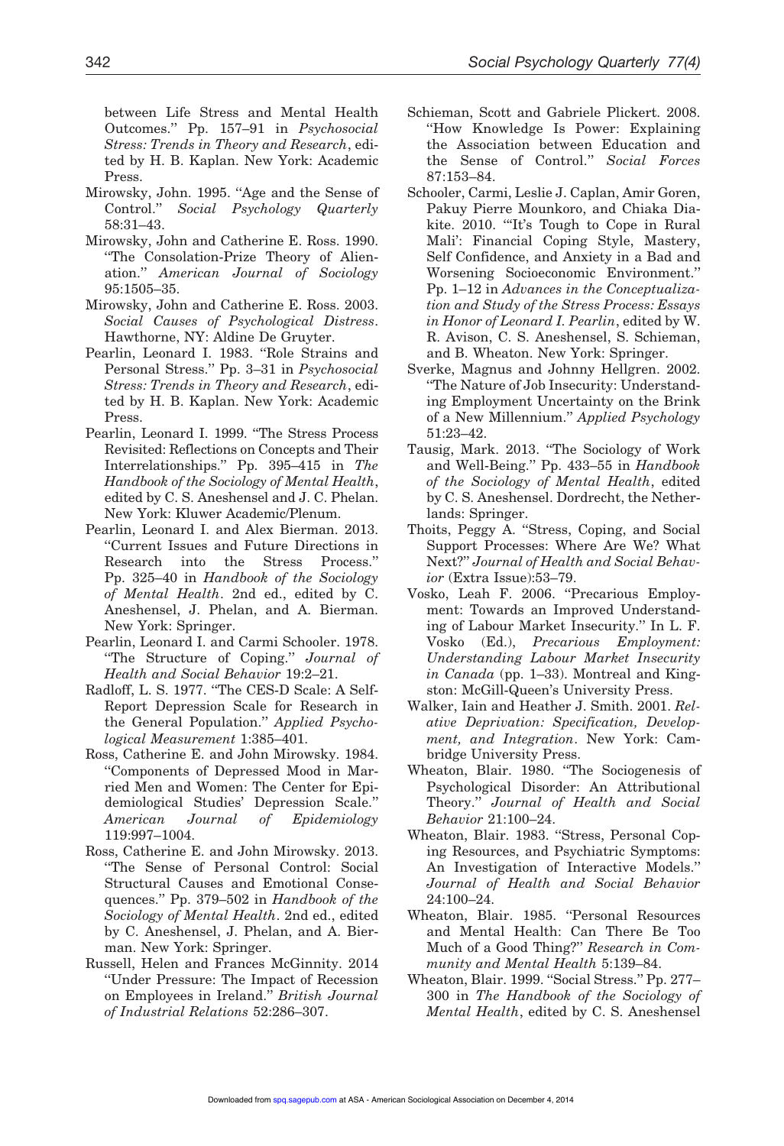between Life Stress and Mental Health Outcomes.'' Pp. 157–91 in Psychosocial Stress: Trends in Theory and Research, edited by H. B. Kaplan. New York: Academic Press.

- Mirowsky, John. 1995. ''Age and the Sense of Control.'' Social Psychology Quarterly 58:31–43.
- Mirowsky, John and Catherine E. Ross. 1990. ''The Consolation-Prize Theory of Alienation.'' American Journal of Sociology 95:1505–35.
- Mirowsky, John and Catherine E. Ross. 2003. Social Causes of Psychological Distress. Hawthorne, NY: Aldine De Gruyter.
- Pearlin, Leonard I. 1983. ''Role Strains and Personal Stress.'' Pp. 3–31 in Psychosocial Stress: Trends in Theory and Research, edited by H. B. Kaplan. New York: Academic Press.
- Pearlin, Leonard I. 1999. ''The Stress Process Revisited: Reflections on Concepts and Their Interrelationships.'' Pp. 395–415 in The Handbook of the Sociology of Mental Health, edited by C. S. Aneshensel and J. C. Phelan. New York: Kluwer Academic/Plenum.
- Pearlin, Leonard I. and Alex Bierman. 2013. ''Current Issues and Future Directions in Research into the Stress Process.'' Pp. 325–40 in Handbook of the Sociology of Mental Health. 2nd ed., edited by C. Aneshensel, J. Phelan, and A. Bierman. New York: Springer.
- Pearlin, Leonard I. and Carmi Schooler. 1978. ''The Structure of Coping.'' Journal of Health and Social Behavior 19:2–21.
- Radloff, L. S. 1977. ''The CES-D Scale: A Self-Report Depression Scale for Research in the General Population.'' Applied Psychological Measurement 1:385–401.
- Ross, Catherine E. and John Mirowsky. 1984. ''Components of Depressed Mood in Married Men and Women: The Center for Epidemiological Studies' Depression Scale.'' American Journal of Epidemiology 119:997–1004.
- Ross, Catherine E. and John Mirowsky. 2013. ''The Sense of Personal Control: Social Structural Causes and Emotional Consequences.'' Pp. 379–502 in Handbook of the Sociology of Mental Health. 2nd ed., edited by C. Aneshensel, J. Phelan, and A. Bierman. New York: Springer.
- Russell, Helen and Frances McGinnity. 2014 ''Under Pressure: The Impact of Recession on Employees in Ireland.'' British Journal of Industrial Relations 52:286–307.
- Schieman, Scott and Gabriele Plickert. 2008. ''How Knowledge Is Power: Explaining the Association between Education and the Sense of Control.'' Social Forces 87:153–84.
- Schooler, Carmi, Leslie J. Caplan, Amir Goren, Pakuy Pierre Mounkoro, and Chiaka Diakite. 2010. "It's Tough to Cope in Rural Mali': Financial Coping Style, Mastery, Self Confidence, and Anxiety in a Bad and Worsening Socioeconomic Environment.'' Pp. 1–12 in Advances in the Conceptualization and Study of the Stress Process: Essays in Honor of Leonard I. Pearlin, edited by W. R. Avison, C. S. Aneshensel, S. Schieman, and B. Wheaton. New York: Springer.
- Sverke, Magnus and Johnny Hellgren. 2002. ''The Nature of Job Insecurity: Understanding Employment Uncertainty on the Brink of a New Millennium.'' Applied Psychology 51:23–42.
- Tausig, Mark. 2013. ''The Sociology of Work and Well-Being.'' Pp. 433–55 in Handbook of the Sociology of Mental Health, edited by C. S. Aneshensel. Dordrecht, the Netherlands: Springer.
- Thoits, Peggy A. ''Stress, Coping, and Social Support Processes: Where Are We? What Next?'' Journal of Health and Social Behavior (Extra Issue):53–79.
- Vosko, Leah F. 2006. ''Precarious Employment: Towards an Improved Understanding of Labour Market Insecurity.'' In L. F. Vosko (Ed.), Precarious Employment: Understanding Labour Market Insecurity in Canada (pp. 1–33). Montreal and Kingston: McGill-Queen's University Press.
- Walker, Iain and Heather J. Smith. 2001. Relative Deprivation: Specification, Development, and Integration. New York: Cambridge University Press.
- Wheaton, Blair. 1980. ''The Sociogenesis of Psychological Disorder: An Attributional Theory.'' Journal of Health and Social Behavior 21:100–24.
- Wheaton, Blair. 1983. ''Stress, Personal Coping Resources, and Psychiatric Symptoms: An Investigation of Interactive Models.'' Journal of Health and Social Behavior 24:100–24.
- Wheaton, Blair. 1985. ''Personal Resources and Mental Health: Can There Be Too Much of a Good Thing?'' Research in Community and Mental Health 5:139–84.
- Wheaton, Blair. 1999. ''Social Stress.'' Pp. 277– 300 in The Handbook of the Sociology of Mental Health, edited by C. S. Aneshensel